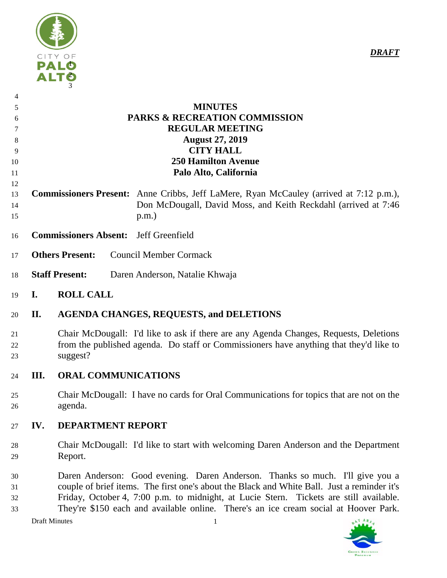

# **MINUTES PARKS & RECREATION COMMISSION REGULAR MEETING August 27, 2019 CITY HALL 250 Hamilton Avenue Palo Alto, California**

- **Commissioners Present:** Anne Cribbs, Jeff LaMere, Ryan McCauley (arrived at 7:12 p.m.), Don McDougall, David Moss, and Keith Reckdahl (arrived at 7:46 p.m.)
- **Commissioners Absent:** Jeff Greenfield
- **Others Present:** Council Member Cormack
- **Staff Present:** Daren Anderson, Natalie Khwaja
- **I. ROLL CALL**

## **II. AGENDA CHANGES, REQUESTS, and DELETIONS**

 Chair McDougall: I'd like to ask if there are any Agenda Changes, Requests, Deletions from the published agenda. Do staff or Commissioners have anything that they'd like to suggest?

### **III. ORAL COMMUNICATIONS**

 Chair McDougall: I have no cards for Oral Communications for topics that are not on the agenda.

### **IV. DEPARTMENT REPORT**

- Chair McDougall: I'd like to start with welcoming Daren Anderson and the Department Report.
- Daren Anderson: Good evening. Daren Anderson. Thanks so much. I'll give you a couple of brief items. The first one's about the Black and White Ball. Just a reminder it's Friday, October 4, 7:00 p.m. to midnight, at Lucie Stern. Tickets are still available. They're \$150 each and available online. There's an ice cream social at Hoover Park.

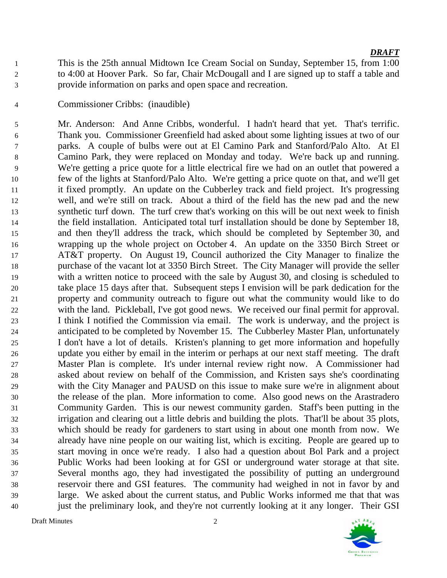This is the 25th annual Midtown Ice Cream Social on Sunday, September 15, from 1:00 to 4:00 at Hoover Park. So far, Chair McDougall and I are signed up to staff a table and provide information on parks and open space and recreation.

#### Commissioner Cribbs: (inaudible)

 Mr. Anderson: And Anne Cribbs, wonderful. I hadn't heard that yet. That's terrific. Thank you. Commissioner Greenfield had asked about some lighting issues at two of our parks. A couple of bulbs were out at El Camino Park and Stanford/Palo Alto. At El Camino Park, they were replaced on Monday and today. We're back up and running. We're getting a price quote for a little electrical fire we had on an outlet that powered a few of the lights at Stanford/Palo Alto. We're getting a price quote on that, and we'll get it fixed promptly. An update on the Cubberley track and field project. It's progressing well, and we're still on track. About a third of the field has the new pad and the new synthetic turf down. The turf crew that's working on this will be out next week to finish the field installation. Anticipated total turf installation should be done by September 18, and then they'll address the track, which should be completed by September 30, and wrapping up the whole project on October 4. An update on the 3350 Birch Street or AT&T property. On August 19, Council authorized the City Manager to finalize the purchase of the vacant lot at 3350 Birch Street. The City Manager will provide the seller with a written notice to proceed with the sale by August 30, and closing is scheduled to take place 15 days after that. Subsequent steps I envision will be park dedication for the property and community outreach to figure out what the community would like to do with the land. Pickleball, I've got good news. We received our final permit for approval. I think I notified the Commission via email. The work is underway, and the project is anticipated to be completed by November 15. The Cubberley Master Plan, unfortunately I don't have a lot of details. Kristen's planning to get more information and hopefully update you either by email in the interim or perhaps at our next staff meeting. The draft Master Plan is complete. It's under internal review right now. A Commissioner had asked about review on behalf of the Commission, and Kristen says she's coordinating with the City Manager and PAUSD on this issue to make sure we're in alignment about the release of the plan. More information to come. Also good news on the Arastradero Community Garden. This is our newest community garden. Staff's been putting in the irrigation and clearing out a little debris and building the plots. That'll be about 35 plots, which should be ready for gardeners to start using in about one month from now. We already have nine people on our waiting list, which is exciting. People are geared up to start moving in once we're ready. I also had a question about Bol Park and a project Public Works had been looking at for GSI or underground water storage at that site. Several months ago, they had investigated the possibility of putting an underground reservoir there and GSI features. The community had weighed in not in favor by and large. We asked about the current status, and Public Works informed me that that was just the preliminary look, and they're not currently looking at it any longer. Their GSI

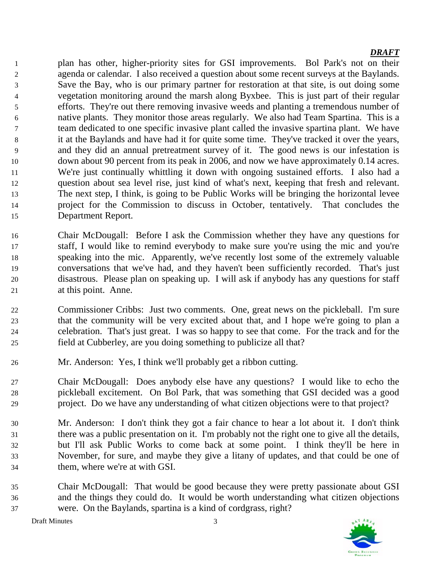plan has other, higher-priority sites for GSI improvements. Bol Park's not on their agenda or calendar. I also received a question about some recent surveys at the Baylands. Save the Bay, who is our primary partner for restoration at that site, is out doing some vegetation monitoring around the marsh along Byxbee. This is just part of their regular efforts. They're out there removing invasive weeds and planting a tremendous number of native plants. They monitor those areas regularly. We also had Team Spartina. This is a team dedicated to one specific invasive plant called the invasive spartina plant. We have it at the Baylands and have had it for quite some time. They've tracked it over the years, and they did an annual pretreatment survey of it. The good news is our infestation is down about 90 percent from its peak in 2006, and now we have approximately 0.14 acres. We're just continually whittling it down with ongoing sustained efforts. I also had a question about sea level rise, just kind of what's next, keeping that fresh and relevant. The next step, I think, is going to be Public Works will be bringing the horizontal levee project for the Commission to discuss in October, tentatively. That concludes the Department Report.

- Chair McDougall: Before I ask the Commission whether they have any questions for staff, I would like to remind everybody to make sure you're using the mic and you're speaking into the mic. Apparently, we've recently lost some of the extremely valuable conversations that we've had, and they haven't been sufficiently recorded. That's just disastrous. Please plan on speaking up. I will ask if anybody has any questions for staff at this point. Anne.
- Commissioner Cribbs: Just two comments. One, great news on the pickleball. I'm sure that the community will be very excited about that, and I hope we're going to plan a celebration. That's just great. I was so happy to see that come. For the track and for the field at Cubberley, are you doing something to publicize all that?
- Mr. Anderson: Yes, I think we'll probably get a ribbon cutting.

 Chair McDougall: Does anybody else have any questions? I would like to echo the pickleball excitement. On Bol Park, that was something that GSI decided was a good project. Do we have any understanding of what citizen objections were to that project?

- Mr. Anderson: I don't think they got a fair chance to hear a lot about it. I don't think there was a public presentation on it. I'm probably not the right one to give all the details, but I'll ask Public Works to come back at some point. I think they'll be here in November, for sure, and maybe they give a litany of updates, and that could be one of them, where we're at with GSI.
- Chair McDougall: That would be good because they were pretty passionate about GSI and the things they could do. It would be worth understanding what citizen objections were. On the Baylands, spartina is a kind of cordgrass, right?



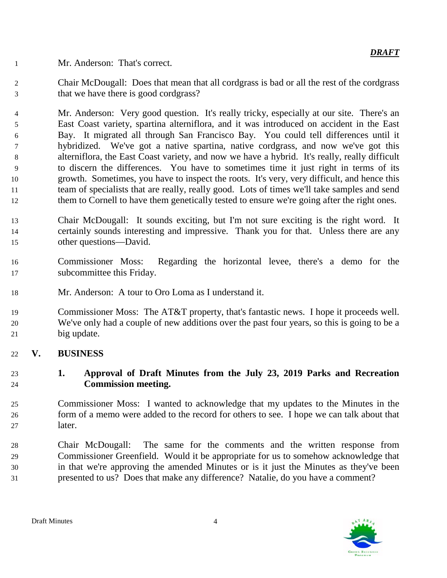Mr. Anderson: That's correct.

 Chair McDougall: Does that mean that all cordgrass is bad or all the rest of the cordgrass that we have there is good cordgrass?

 Mr. Anderson: Very good question. It's really tricky, especially at our site. There's an East Coast variety, spartina alterniflora, and it was introduced on accident in the East Bay. It migrated all through San Francisco Bay. You could tell differences until it hybridized. We've got a native spartina, native cordgrass, and now we've got this alterniflora, the East Coast variety, and now we have a hybrid. It's really, really difficult to discern the differences. You have to sometimes time it just right in terms of its growth. Sometimes, you have to inspect the roots. It's very, very difficult, and hence this team of specialists that are really, really good. Lots of times we'll take samples and send 12 them to Cornell to have them genetically tested to ensure we're going after the right ones.

- Chair McDougall: It sounds exciting, but I'm not sure exciting is the right word. It certainly sounds interesting and impressive. Thank you for that. Unless there are any other questions—David.
- Commissioner Moss: Regarding the horizontal levee, there's a demo for the subcommittee this Friday.
- Mr. Anderson: A tour to Oro Loma as I understand it.

 Commissioner Moss: The AT&T property, that's fantastic news. I hope it proceeds well. We've only had a couple of new additions over the past four years, so this is going to be a big update.

## **V. BUSINESS**

## **1. Approval of Draft Minutes from the July 23, 2019 Parks and Recreation Commission meeting.**

- Commissioner Moss: I wanted to acknowledge that my updates to the Minutes in the form of a memo were added to the record for others to see. I hope we can talk about that later.
- Chair McDougall: The same for the comments and the written response from Commissioner Greenfield. Would it be appropriate for us to somehow acknowledge that in that we're approving the amended Minutes or is it just the Minutes as they've been presented to us? Does that make any difference? Natalie, do you have a comment?

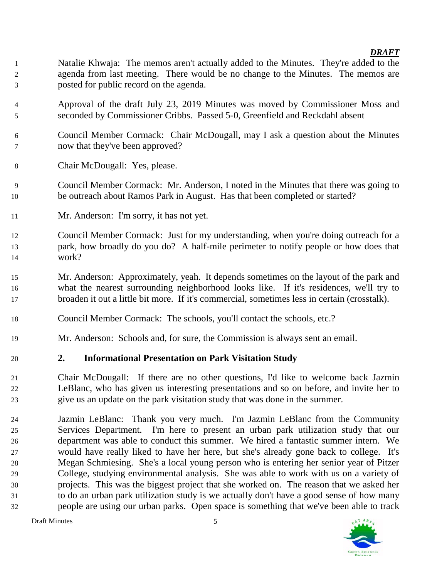- Natalie Khwaja: The memos aren't actually added to the Minutes. They're added to the agenda from last meeting. There would be no change to the Minutes. The memos are posted for public record on the agenda.
- Approval of the draft July 23, 2019 Minutes was moved by Commissioner Moss and seconded by Commissioner Cribbs. Passed 5-0, Greenfield and Reckdahl absent
- Council Member Cormack: Chair McDougall, may I ask a question about the Minutes now that they've been approved?
- Chair McDougall: Yes, please.
- Council Member Cormack: Mr. Anderson, I noted in the Minutes that there was going to be outreach about Ramos Park in August. Has that been completed or started?
- Mr. Anderson: I'm sorry, it has not yet.
- Council Member Cormack: Just for my understanding, when you're doing outreach for a park, how broadly do you do? A half-mile perimeter to notify people or how does that work?
- Mr. Anderson: Approximately, yeah. It depends sometimes on the layout of the park and what the nearest surrounding neighborhood looks like. If it's residences, we'll try to broaden it out a little bit more. If it's commercial, sometimes less in certain (crosstalk).
- Council Member Cormack: The schools, you'll contact the schools, etc.?
- Mr. Anderson: Schools and, for sure, the Commission is always sent an email.

## **2. Informational Presentation on Park Visitation Study**

- Chair McDougall: If there are no other questions, I'd like to welcome back Jazmin LeBlanc, who has given us interesting presentations and so on before, and invite her to give us an update on the park visitation study that was done in the summer.
- Jazmin LeBlanc: Thank you very much. I'm Jazmin LeBlanc from the Community Services Department. I'm here to present an urban park utilization study that our department was able to conduct this summer. We hired a fantastic summer intern. We would have really liked to have her here, but she's already gone back to college. It's Megan Schmiesing. She's a local young person who is entering her senior year of Pitzer College, studying environmental analysis. She was able to work with us on a variety of projects. This was the biggest project that she worked on. The reason that we asked her to do an urban park utilization study is we actually don't have a good sense of how many people are using our urban parks. Open space is something that we've been able to track

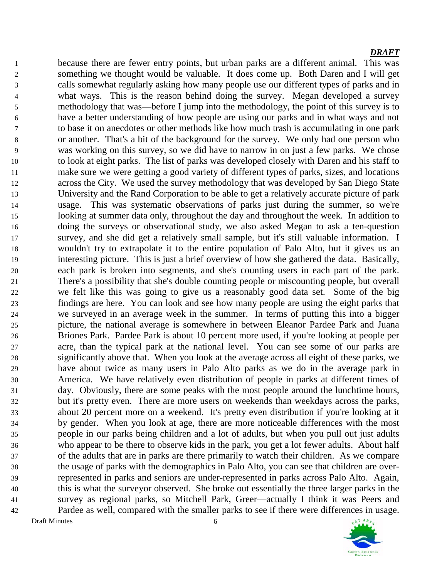Draft Minutes 6 because there are fewer entry points, but urban parks are a different animal. This was something we thought would be valuable. It does come up. Both Daren and I will get calls somewhat regularly asking how many people use our different types of parks and in what ways. This is the reason behind doing the survey. Megan developed a survey methodology that was—before I jump into the methodology, the point of this survey is to have a better understanding of how people are using our parks and in what ways and not to base it on anecdotes or other methods like how much trash is accumulating in one park or another. That's a bit of the background for the survey. We only had one person who was working on this survey, so we did have to narrow in on just a few parks. We chose to look at eight parks. The list of parks was developed closely with Daren and his staff to make sure we were getting a good variety of different types of parks, sizes, and locations across the City. We used the survey methodology that was developed by San Diego State University and the Rand Corporation to be able to get a relatively accurate picture of park usage. This was systematic observations of parks just during the summer, so we're looking at summer data only, throughout the day and throughout the week. In addition to doing the surveys or observational study, we also asked Megan to ask a ten-question survey, and she did get a relatively small sample, but it's still valuable information. I wouldn't try to extrapolate it to the entire population of Palo Alto, but it gives us an interesting picture. This is just a brief overview of how she gathered the data. Basically, each park is broken into segments, and she's counting users in each part of the park. There's a possibility that she's double counting people or miscounting people, but overall we felt like this was going to give us a reasonably good data set. Some of the big findings are here. You can look and see how many people are using the eight parks that we surveyed in an average week in the summer. In terms of putting this into a bigger picture, the national average is somewhere in between Eleanor Pardee Park and Juana Briones Park. Pardee Park is about 10 percent more used, if you're looking at people per acre, than the typical park at the national level. You can see some of our parks are significantly above that. When you look at the average across all eight of these parks, we have about twice as many users in Palo Alto parks as we do in the average park in America. We have relatively even distribution of people in parks at different times of day. Obviously, there are some peaks with the most people around the lunchtime hours, but it's pretty even. There are more users on weekends than weekdays across the parks, about 20 percent more on a weekend. It's pretty even distribution if you're looking at it by gender. When you look at age, there are more noticeable differences with the most people in our parks being children and a lot of adults, but when you pull out just adults who appear to be there to observe kids in the park, you get a lot fewer adults. About half of the adults that are in parks are there primarily to watch their children. As we compare the usage of parks with the demographics in Palo Alto, you can see that children are over- represented in parks and seniors are under-represented in parks across Palo Alto. Again, this is what the surveyor observed. She broke out essentially the three larger parks in the survey as regional parks, so Mitchell Park, Greer—actually I think it was Peers and Pardee as well, compared with the smaller parks to see if there were differences in usage.

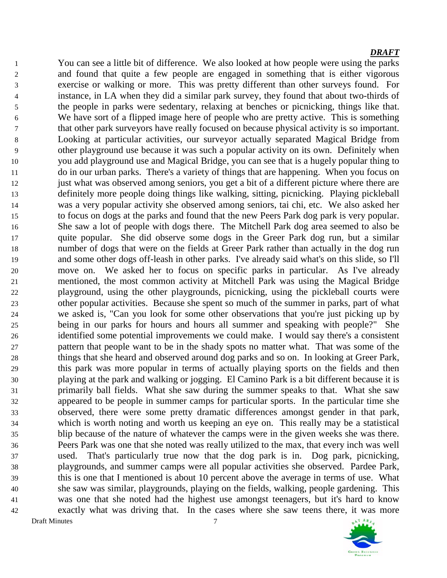Draft Minutes 7 You can see a little bit of difference. We also looked at how people were using the parks and found that quite a few people are engaged in something that is either vigorous exercise or walking or more. This was pretty different than other surveys found. For instance, in LA when they did a similar park survey, they found that about two-thirds of the people in parks were sedentary, relaxing at benches or picnicking, things like that. We have sort of a flipped image here of people who are pretty active. This is something that other park surveyors have really focused on because physical activity is so important. Looking at particular activities, our surveyor actually separated Magical Bridge from other playground use because it was such a popular activity on its own. Definitely when you add playground use and Magical Bridge, you can see that is a hugely popular thing to do in our urban parks. There's a variety of things that are happening. When you focus on just what was observed among seniors, you get a bit of a different picture where there are definitely more people doing things like walking, sitting, picnicking. Playing pickleball was a very popular activity she observed among seniors, tai chi, etc. We also asked her to focus on dogs at the parks and found that the new Peers Park dog park is very popular. She saw a lot of people with dogs there. The Mitchell Park dog area seemed to also be quite popular. She did observe some dogs in the Greer Park dog run, but a similar number of dogs that were on the fields at Greer Park rather than actually in the dog run and some other dogs off-leash in other parks. I've already said what's on this slide, so I'll move on. We asked her to focus on specific parks in particular. As I've already mentioned, the most common activity at Mitchell Park was using the Magical Bridge playground, using the other playgrounds, picnicking, using the pickleball courts were other popular activities. Because she spent so much of the summer in parks, part of what we asked is, "Can you look for some other observations that you're just picking up by being in our parks for hours and hours all summer and speaking with people?" She identified some potential improvements we could make. I would say there's a consistent pattern that people want to be in the shady spots no matter what. That was some of the things that she heard and observed around dog parks and so on. In looking at Greer Park, this park was more popular in terms of actually playing sports on the fields and then playing at the park and walking or jogging. El Camino Park is a bit different because it is primarily ball fields. What she saw during the summer speaks to that. What she saw appeared to be people in summer camps for particular sports. In the particular time she observed, there were some pretty dramatic differences amongst gender in that park, which is worth noting and worth us keeping an eye on. This really may be a statistical blip because of the nature of whatever the camps were in the given weeks she was there. Peers Park was one that she noted was really utilized to the max, that every inch was well used. That's particularly true now that the dog park is in. Dog park, picnicking, playgrounds, and summer camps were all popular activities she observed. Pardee Park, this is one that I mentioned is about 10 percent above the average in terms of use. What she saw was similar, playgrounds, playing on the fields, walking, people gardening. This was one that she noted had the highest use amongst teenagers, but it's hard to know exactly what was driving that. In the cases where she saw teens there, it was more

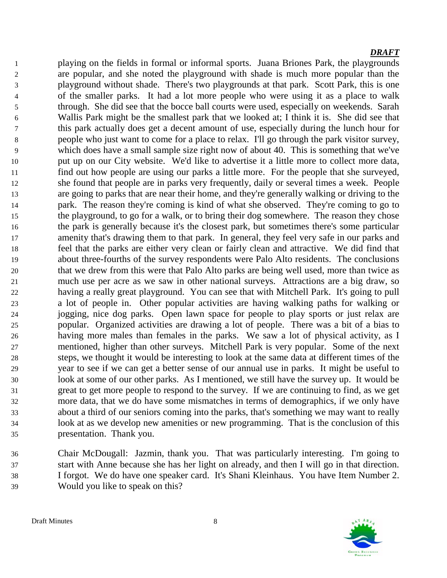playing on the fields in formal or informal sports. Juana Briones Park, the playgrounds are popular, and she noted the playground with shade is much more popular than the playground without shade. There's two playgrounds at that park. Scott Park, this is one of the smaller parks. It had a lot more people who were using it as a place to walk through. She did see that the bocce ball courts were used, especially on weekends. Sarah Wallis Park might be the smallest park that we looked at; I think it is. She did see that this park actually does get a decent amount of use, especially during the lunch hour for people who just want to come for a place to relax. I'll go through the park visitor survey, which does have a small sample size right now of about 40. This is something that we've put up on our City website. We'd like to advertise it a little more to collect more data, find out how people are using our parks a little more. For the people that she surveyed, she found that people are in parks very frequently, daily or several times a week. People are going to parks that are near their home, and they're generally walking or driving to the park. The reason they're coming is kind of what she observed. They're coming to go to the playground, to go for a walk, or to bring their dog somewhere. The reason they chose the park is generally because it's the closest park, but sometimes there's some particular amenity that's drawing them to that park. In general, they feel very safe in our parks and feel that the parks are either very clean or fairly clean and attractive. We did find that about three-fourths of the survey respondents were Palo Alto residents. The conclusions that we drew from this were that Palo Alto parks are being well used, more than twice as much use per acre as we saw in other national surveys. Attractions are a big draw, so having a really great playground. You can see that with Mitchell Park. It's going to pull a lot of people in. Other popular activities are having walking paths for walking or jogging, nice dog parks. Open lawn space for people to play sports or just relax are popular. Organized activities are drawing a lot of people. There was a bit of a bias to having more males than females in the parks. We saw a lot of physical activity, as I mentioned, higher than other surveys. Mitchell Park is very popular. Some of the next steps, we thought it would be interesting to look at the same data at different times of the year to see if we can get a better sense of our annual use in parks. It might be useful to look at some of our other parks. As I mentioned, we still have the survey up. It would be great to get more people to respond to the survey. If we are continuing to find, as we get more data, that we do have some mismatches in terms of demographics, if we only have about a third of our seniors coming into the parks, that's something we may want to really look at as we develop new amenities or new programming. That is the conclusion of this presentation. Thank you.

 Chair McDougall: Jazmin, thank you. That was particularly interesting. I'm going to start with Anne because she has her light on already, and then I will go in that direction. I forgot. We do have one speaker card. It's Shani Kleinhaus. You have Item Number 2. Would you like to speak on this?

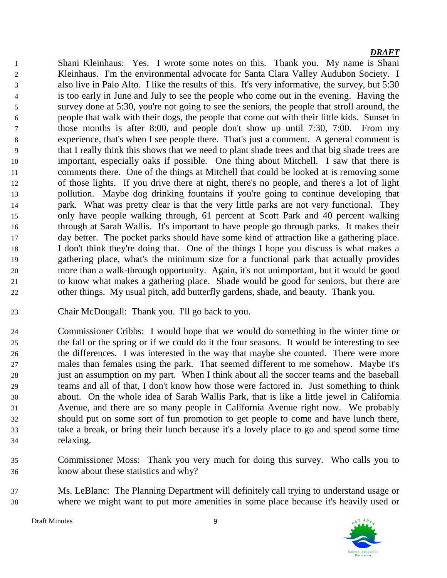Shani Kleinhaus: Yes. I wrote some notes on this. Thank you. My name is Shani Kleinhaus. I'm the environmental advocate for Santa Clara Valley Audubon Society. I also live in Palo Alto. I like the results of this. It's very informative, the survey, but 5:30 is too early in June and July to see the people who come out in the evening. Having the survey done at 5:30, you're not going to see the seniors, the people that stroll around, the people that walk with their dogs, the people that come out with their little kids. Sunset in those months is after 8:00, and people don't show up until 7:30, 7:00. From my experience, that's when I see people there. That's just a comment. A general comment is that I really think this shows that we need to plant shade trees and that big shade trees are important, especially oaks if possible. One thing about Mitchell. I saw that there is comments there. One of the things at Mitchell that could be looked at is removing some of those lights. If you drive there at night, there's no people, and there's a lot of light pollution. Maybe dog drinking fountains if you're going to continue developing that park. What was pretty clear is that the very little parks are not very functional. They only have people walking through, 61 percent at Scott Park and 40 percent walking through at Sarah Wallis. It's important to have people go through parks. It makes their day better. The pocket parks should have some kind of attraction like a gathering place. I don't think they're doing that. One of the things I hope you discuss is what makes a gathering place, what's the minimum size for a functional park that actually provides more than a walk-through opportunity. Again, it's not unimportant, but it would be good to know what makes a gathering place. Shade would be good for seniors, but there are other things. My usual pitch, add butterfly gardens, shade, and beauty. Thank you.

- Chair McDougall: Thank you. I'll go back to you.
- Commissioner Cribbs: I would hope that we would do something in the winter time or the fall or the spring or if we could do it the four seasons. It would be interesting to see the differences. I was interested in the way that maybe she counted. There were more males than females using the park. That seemed different to me somehow. Maybe it's just an assumption on my part. When I think about all the soccer teams and the baseball teams and all of that, I don't know how those were factored in. Just something to think about. On the whole idea of Sarah Wallis Park, that is like a little jewel in California Avenue, and there are so many people in California Avenue right now. We probably should put on some sort of fun promotion to get people to come and have lunch there, take a break, or bring their lunch because it's a lovely place to go and spend some time relaxing.
- Commissioner Moss: Thank you very much for doing this survey. Who calls you to know about these statistics and why?
- Ms. LeBlanc: The Planning Department will definitely call trying to understand usage or where we might want to put more amenities in some place because it's heavily used or

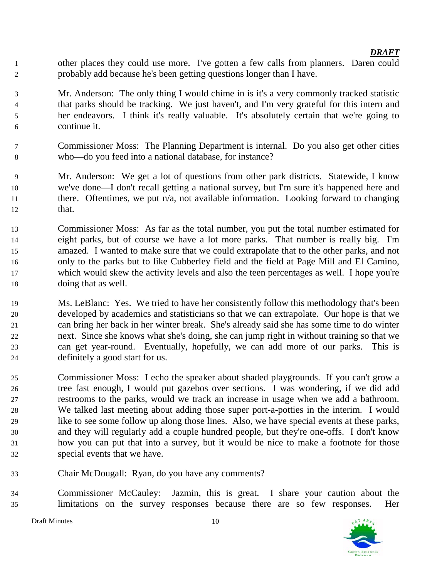- other places they could use more. I've gotten a few calls from planners. Daren could probably add because he's been getting questions longer than I have.
- Mr. Anderson: The only thing I would chime in is it's a very commonly tracked statistic that parks should be tracking. We just haven't, and I'm very grateful for this intern and her endeavors. I think it's really valuable. It's absolutely certain that we're going to continue it.
- Commissioner Moss: The Planning Department is internal. Do you also get other cities who—do you feed into a national database, for instance?
- Mr. Anderson: We get a lot of questions from other park districts. Statewide, I know we've done—I don't recall getting a national survey, but I'm sure it's happened here and 11 there. Oftentimes, we put  $n/a$ , not available information. Looking forward to changing that.
- Commissioner Moss: As far as the total number, you put the total number estimated for eight parks, but of course we have a lot more parks. That number is really big. I'm amazed. I wanted to make sure that we could extrapolate that to the other parks, and not only to the parks but to like Cubberley field and the field at Page Mill and El Camino, which would skew the activity levels and also the teen percentages as well. I hope you're doing that as well.
- Ms. LeBlanc: Yes. We tried to have her consistently follow this methodology that's been developed by academics and statisticians so that we can extrapolate. Our hope is that we can bring her back in her winter break. She's already said she has some time to do winter next. Since she knows what she's doing, she can jump right in without training so that we can get year-round. Eventually, hopefully, we can add more of our parks. This is definitely a good start for us.
- Commissioner Moss: I echo the speaker about shaded playgrounds. If you can't grow a tree fast enough, I would put gazebos over sections. I was wondering, if we did add restrooms to the parks, would we track an increase in usage when we add a bathroom. We talked last meeting about adding those super port-a-potties in the interim. I would like to see some follow up along those lines. Also, we have special events at these parks, and they will regularly add a couple hundred people, but they're one-offs. I don't know how you can put that into a survey, but it would be nice to make a footnote for those special events that we have.
- Chair McDougall: Ryan, do you have any comments?
- Commissioner McCauley: Jazmin, this is great. I share your caution about the limitations on the survey responses because there are so few responses. Her



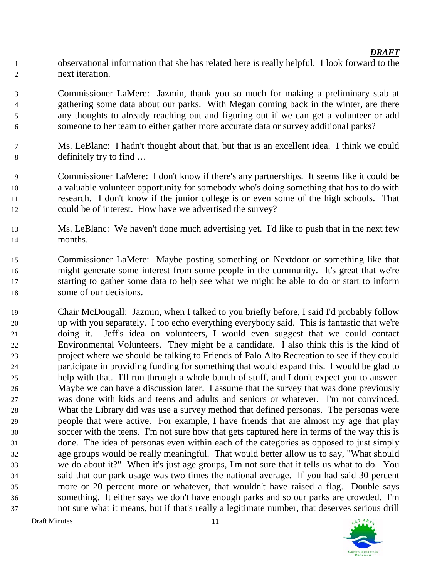observational information that she has related here is really helpful. I look forward to the next iteration.

 Commissioner LaMere: Jazmin, thank you so much for making a preliminary stab at gathering some data about our parks. With Megan coming back in the winter, are there any thoughts to already reaching out and figuring out if we can get a volunteer or add someone to her team to either gather more accurate data or survey additional parks?

- Ms. LeBlanc: I hadn't thought about that, but that is an excellent idea. I think we could definitely try to find …
- Commissioner LaMere: I don't know if there's any partnerships. It seems like it could be a valuable volunteer opportunity for somebody who's doing something that has to do with research. I don't know if the junior college is or even some of the high schools. That could be of interest. How have we advertised the survey?
- Ms. LeBlanc: We haven't done much advertising yet. I'd like to push that in the next few months.
- Commissioner LaMere: Maybe posting something on Nextdoor or something like that might generate some interest from some people in the community. It's great that we're starting to gather some data to help see what we might be able to do or start to inform some of our decisions.
- Chair McDougall: Jazmin, when I talked to you briefly before, I said I'd probably follow up with you separately. I too echo everything everybody said. This is fantastic that we're doing it. Jeff's idea on volunteers, I would even suggest that we could contact Environmental Volunteers. They might be a candidate. I also think this is the kind of project where we should be talking to Friends of Palo Alto Recreation to see if they could participate in providing funding for something that would expand this. I would be glad to help with that. I'll run through a whole bunch of stuff, and I don't expect you to answer. Maybe we can have a discussion later. I assume that the survey that was done previously was done with kids and teens and adults and seniors or whatever. I'm not convinced. What the Library did was use a survey method that defined personas. The personas were people that were active. For example, I have friends that are almost my age that play soccer with the teens. I'm not sure how that gets captured here in terms of the way this is done. The idea of personas even within each of the categories as opposed to just simply age groups would be really meaningful. That would better allow us to say, "What should we do about it?" When it's just age groups, I'm not sure that it tells us what to do. You said that our park usage was two times the national average. If you had said 30 percent more or 20 percent more or whatever, that wouldn't have raised a flag. Double says something. It either says we don't have enough parks and so our parks are crowded. I'm not sure what it means, but if that's really a legitimate number, that deserves serious drill

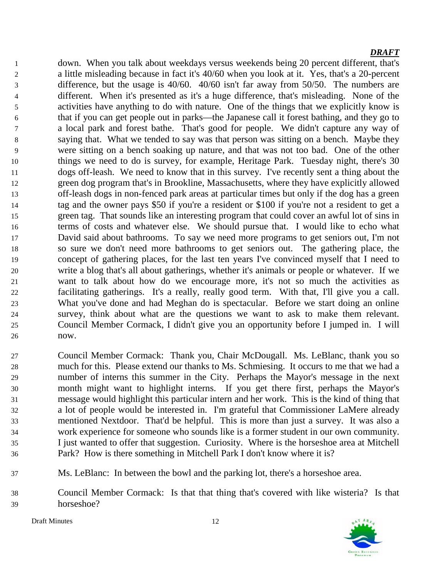down. When you talk about weekdays versus weekends being 20 percent different, that's a little misleading because in fact it's 40/60 when you look at it. Yes, that's a 20-percent difference, but the usage is 40/60. 40/60 isn't far away from 50/50. The numbers are different. When it's presented as it's a huge difference, that's misleading. None of the activities have anything to do with nature. One of the things that we explicitly know is that if you can get people out in parks—the Japanese call it forest bathing, and they go to a local park and forest bathe. That's good for people. We didn't capture any way of saying that. What we tended to say was that person was sitting on a bench. Maybe they were sitting on a bench soaking up nature, and that was not too bad. One of the other things we need to do is survey, for example, Heritage Park. Tuesday night, there's 30 dogs off-leash. We need to know that in this survey. I've recently sent a thing about the green dog program that's in Brookline, Massachusetts, where they have explicitly allowed off-leash dogs in non-fenced park areas at particular times but only if the dog has a green tag and the owner pays \$50 if you're a resident or \$100 if you're not a resident to get a green tag. That sounds like an interesting program that could cover an awful lot of sins in terms of costs and whatever else. We should pursue that. I would like to echo what David said about bathrooms. To say we need more programs to get seniors out, I'm not so sure we don't need more bathrooms to get seniors out. The gathering place, the concept of gathering places, for the last ten years I've convinced myself that I need to write a blog that's all about gatherings, whether it's animals or people or whatever. If we want to talk about how do we encourage more, it's not so much the activities as facilitating gatherings. It's a really, really good term. With that, I'll give you a call. What you've done and had Meghan do is spectacular. Before we start doing an online survey, think about what are the questions we want to ask to make them relevant. Council Member Cormack, I didn't give you an opportunity before I jumped in. I will now.

- Council Member Cormack: Thank you, Chair McDougall. Ms. LeBlanc, thank you so much for this. Please extend our thanks to Ms. Schmiesing. It occurs to me that we had a number of interns this summer in the City. Perhaps the Mayor's message in the next month might want to highlight interns. If you get there first, perhaps the Mayor's message would highlight this particular intern and her work. This is the kind of thing that a lot of people would be interested in. I'm grateful that Commissioner LaMere already mentioned Nextdoor. That'd be helpful. This is more than just a survey. It was also a work experience for someone who sounds like is a former student in our own community. I just wanted to offer that suggestion. Curiosity. Where is the horseshoe area at Mitchell Park? How is there something in Mitchell Park I don't know where it is?
- Ms. LeBlanc: In between the bowl and the parking lot, there's a horseshoe area.
- Council Member Cormack: Is that that thing that's covered with like wisteria? Is that horseshoe?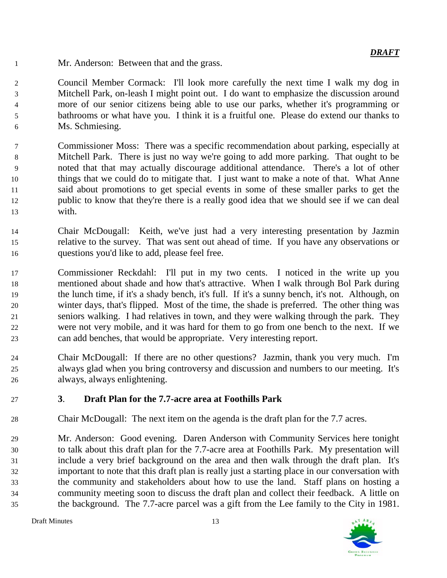Mr. Anderson: Between that and the grass.

 Council Member Cormack: I'll look more carefully the next time I walk my dog in Mitchell Park, on-leash I might point out. I do want to emphasize the discussion around more of our senior citizens being able to use our parks, whether it's programming or bathrooms or what have you. I think it is a fruitful one. Please do extend our thanks to Ms. Schmiesing.

- Commissioner Moss: There was a specific recommendation about parking, especially at Mitchell Park. There is just no way we're going to add more parking. That ought to be noted that that may actually discourage additional attendance. There's a lot of other things that we could do to mitigate that. I just want to make a note of that. What Anne said about promotions to get special events in some of these smaller parks to get the public to know that they're there is a really good idea that we should see if we can deal with.
- Chair McDougall: Keith, we've just had a very interesting presentation by Jazmin relative to the survey. That was sent out ahead of time. If you have any observations or questions you'd like to add, please feel free.
- Commissioner Reckdahl: I'll put in my two cents. I noticed in the write up you mentioned about shade and how that's attractive. When I walk through Bol Park during the lunch time, if it's a shady bench, it's full. If it's a sunny bench, it's not. Although, on winter days, that's flipped. Most of the time, the shade is preferred. The other thing was seniors walking. I had relatives in town, and they were walking through the park. They were not very mobile, and it was hard for them to go from one bench to the next. If we can add benches, that would be appropriate. Very interesting report.
- Chair McDougall: If there are no other questions? Jazmin, thank you very much. I'm always glad when you bring controversy and discussion and numbers to our meeting. It's always, always enlightening.
- **3**. **Draft Plan for the 7.7-acre area at Foothills Park**
- Chair McDougall: The next item on the agenda is the draft plan for the 7.7 acres.
- Mr. Anderson: Good evening. Daren Anderson with Community Services here tonight to talk about this draft plan for the 7.7-acre area at Foothills Park. My presentation will include a very brief background on the area and then walk through the draft plan. It's important to note that this draft plan is really just a starting place in our conversation with the community and stakeholders about how to use the land. Staff plans on hosting a community meeting soon to discuss the draft plan and collect their feedback. A little on the background. The 7.7-acre parcel was a gift from the Lee family to the City in 1981.

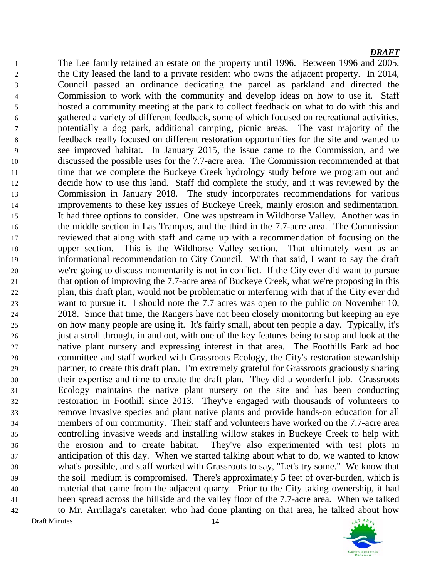Draft Minutes 14 The Lee family retained an estate on the property until 1996. Between 1996 and 2005, the City leased the land to a private resident who owns the adjacent property. In 2014, Council passed an ordinance dedicating the parcel as parkland and directed the Commission to work with the community and develop ideas on how to use it. Staff hosted a community meeting at the park to collect feedback on what to do with this and gathered a variety of different feedback, some of which focused on recreational activities, potentially a dog park, additional camping, picnic areas. The vast majority of the feedback really focused on different restoration opportunities for the site and wanted to see improved habitat. In January 2015, the issue came to the Commission, and we discussed the possible uses for the 7.7-acre area. The Commission recommended at that 11 time that we complete the Buckeye Creek hydrology study before we program out and decide how to use this land. Staff did complete the study, and it was reviewed by the Commission in January 2018. The study incorporates recommendations for various improvements to these key issues of Buckeye Creek, mainly erosion and sedimentation. It had three options to consider. One was upstream in Wildhorse Valley. Another was in the middle section in Las Trampas, and the third in the 7.7-acre area. The Commission reviewed that along with staff and came up with a recommendation of focusing on the upper section. This is the Wildhorse Valley section. That ultimately went as an informational recommendation to City Council. With that said, I want to say the draft we're going to discuss momentarily is not in conflict. If the City ever did want to pursue 21 that option of improving the 7.7-acre area of Buckeye Creek, what we're proposing in this plan, this draft plan, would not be problematic or interfering with that if the City ever did want to pursue it. I should note the 7.7 acres was open to the public on November 10, 2018. Since that time, the Rangers have not been closely monitoring but keeping an eye on how many people are using it. It's fairly small, about ten people a day. Typically, it's just a stroll through, in and out, with one of the key features being to stop and look at the native plant nursery and expressing interest in that area. The Foothills Park ad hoc committee and staff worked with Grassroots Ecology, the City's restoration stewardship partner, to create this draft plan. I'm extremely grateful for Grassroots graciously sharing their expertise and time to create the draft plan. They did a wonderful job. Grassroots Ecology maintains the native plant nursery on the site and has been conducting restoration in Foothill since 2013. They've engaged with thousands of volunteers to remove invasive species and plant native plants and provide hands-on education for all members of our community. Their staff and volunteers have worked on the 7.7-acre area controlling invasive weeds and installing willow stakes in Buckeye Creek to help with the erosion and to create habitat. They've also experimented with test plots in anticipation of this day. When we started talking about what to do, we wanted to know what's possible, and staff worked with Grassroots to say, "Let's try some." We know that the soil medium is compromised. There's approximately 5 feet of over-burden, which is material that came from the adjacent quarry. Prior to the City taking ownership, it had been spread across the hillside and the valley floor of the 7.7-acre area. When we talked to Mr. Arrillaga's caretaker, who had done planting on that area, he talked about how

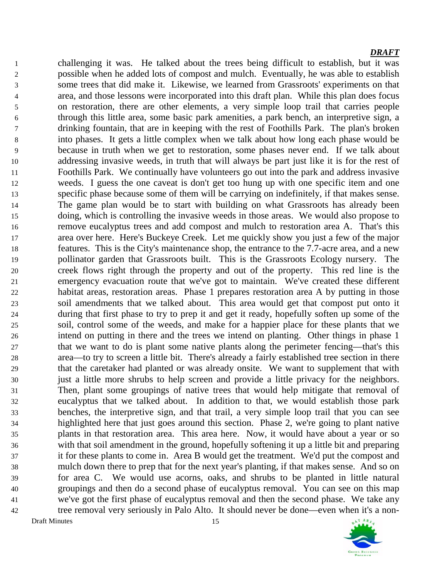Draft Minutes 15 challenging it was. He talked about the trees being difficult to establish, but it was possible when he added lots of compost and mulch. Eventually, he was able to establish some trees that did make it. Likewise, we learned from Grassroots' experiments on that area, and those lessons were incorporated into this draft plan. While this plan does focus on restoration, there are other elements, a very simple loop trail that carries people through this little area, some basic park amenities, a park bench, an interpretive sign, a drinking fountain, that are in keeping with the rest of Foothills Park. The plan's broken into phases. It gets a little complex when we talk about how long each phase would be because in truth when we get to restoration, some phases never end. If we talk about addressing invasive weeds, in truth that will always be part just like it is for the rest of Foothills Park. We continually have volunteers go out into the park and address invasive weeds. I guess the one caveat is don't get too hung up with one specific item and one specific phase because some of them will be carrying on indefinitely, if that makes sense. The game plan would be to start with building on what Grassroots has already been doing, which is controlling the invasive weeds in those areas. We would also propose to remove eucalyptus trees and add compost and mulch to restoration area A. That's this area over here. Here's Buckeye Creek. Let me quickly show you just a few of the major features. This is the City's maintenance shop, the entrance to the 7.7-acre area, and a new pollinator garden that Grassroots built. This is the Grassroots Ecology nursery. The creek flows right through the property and out of the property. This red line is the emergency evacuation route that we've got to maintain. We've created these different habitat areas, restoration areas. Phase 1 prepares restoration area A by putting in those soil amendments that we talked about. This area would get that compost put onto it during that first phase to try to prep it and get it ready, hopefully soften up some of the soil, control some of the weeds, and make for a happier place for these plants that we intend on putting in there and the trees we intend on planting. Other things in phase 1 that we want to do is plant some native plants along the perimeter fencing—that's this area—to try to screen a little bit. There's already a fairly established tree section in there that the caretaker had planted or was already onsite. We want to supplement that with just a little more shrubs to help screen and provide a little privacy for the neighbors. Then, plant some groupings of native trees that would help mitigate that removal of eucalyptus that we talked about. In addition to that, we would establish those park benches, the interpretive sign, and that trail, a very simple loop trail that you can see highlighted here that just goes around this section. Phase 2, we're going to plant native plants in that restoration area. This area here. Now, it would have about a year or so with that soil amendment in the ground, hopefully softening it up a little bit and preparing it for these plants to come in. Area B would get the treatment. We'd put the compost and mulch down there to prep that for the next year's planting, if that makes sense. And so on for area C. We would use acorns, oaks, and shrubs to be planted in little natural groupings and then do a second phase of eucalyptus removal. You can see on this map we've got the first phase of eucalyptus removal and then the second phase. We take any tree removal very seriously in Palo Alto. It should never be done—even when it's a non-

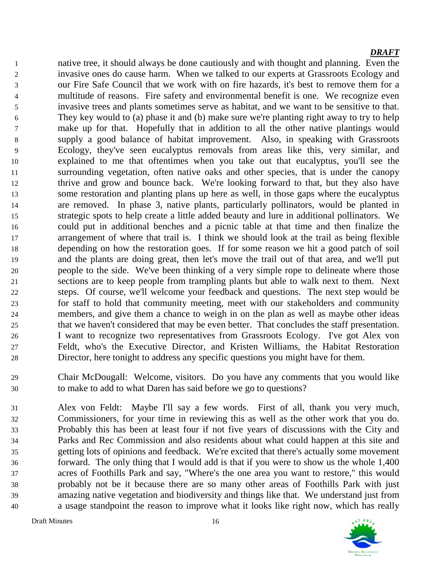native tree, it should always be done cautiously and with thought and planning. Even the invasive ones do cause harm. When we talked to our experts at Grassroots Ecology and our Fire Safe Council that we work with on fire hazards, it's best to remove them for a multitude of reasons. Fire safety and environmental benefit is one. We recognize even invasive trees and plants sometimes serve as habitat, and we want to be sensitive to that. They key would to (a) phase it and (b) make sure we're planting right away to try to help make up for that. Hopefully that in addition to all the other native plantings would supply a good balance of habitat improvement. Also, in speaking with Grassroots Ecology, they've seen eucalyptus removals from areas like this, very similar, and explained to me that oftentimes when you take out that eucalyptus, you'll see the surrounding vegetation, often native oaks and other species, that is under the canopy thrive and grow and bounce back. We're looking forward to that, but they also have some restoration and planting plans up here as well, in those gaps where the eucalyptus are removed. In phase 3, native plants, particularly pollinators, would be planted in strategic spots to help create a little added beauty and lure in additional pollinators. We could put in additional benches and a picnic table at that time and then finalize the arrangement of where that trail is. I think we should look at the trail as being flexible depending on how the restoration goes. If for some reason we hit a good patch of soil and the plants are doing great, then let's move the trail out of that area, and we'll put people to the side. We've been thinking of a very simple rope to delineate where those sections are to keep people from trampling plants but able to walk next to them. Next steps. Of course, we'll welcome your feedback and questions. The next step would be for staff to hold that community meeting, meet with our stakeholders and community members, and give them a chance to weigh in on the plan as well as maybe other ideas that we haven't considered that may be even better. That concludes the staff presentation. I want to recognize two representatives from Grassroots Ecology. I've got Alex von Feldt, who's the Executive Director, and Kristen Williams, the Habitat Restoration Director, here tonight to address any specific questions you might have for them.

 Chair McDougall: Welcome, visitors. Do you have any comments that you would like to make to add to what Daren has said before we go to questions?

 Alex von Feldt: Maybe I'll say a few words. First of all, thank you very much, Commissioners, for your time in reviewing this as well as the other work that you do. Probably this has been at least four if not five years of discussions with the City and Parks and Rec Commission and also residents about what could happen at this site and getting lots of opinions and feedback. We're excited that there's actually some movement forward. The only thing that I would add is that if you were to show us the whole 1,400 acres of Foothills Park and say, "Where's the one area you want to restore," this would probably not be it because there are so many other areas of Foothills Park with just amazing native vegetation and biodiversity and things like that. We understand just from a usage standpoint the reason to improve what it looks like right now, which has really

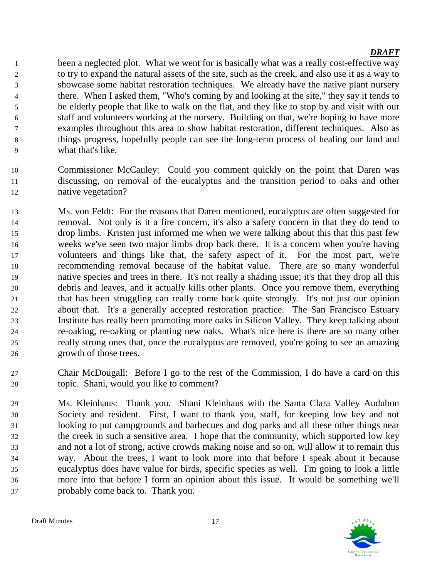been a neglected plot. What we went for is basically what was a really cost-effective way to try to expand the natural assets of the site, such as the creek, and also use it as a way to showcase some habitat restoration techniques. We already have the native plant nursery there. When I asked them, "Who's coming by and looking at the site," they say it tends to be elderly people that like to walk on the flat, and they like to stop by and visit with our staff and volunteers working at the nursery. Building on that, we're hoping to have more examples throughout this area to show habitat restoration, different techniques. Also as things progress, hopefully people can see the long-term process of healing our land and what that's like.

- Commissioner McCauley: Could you comment quickly on the point that Daren was discussing, on removal of the eucalyptus and the transition period to oaks and other native vegetation?
- Ms. von Feldt: For the reasons that Daren mentioned, eucalyptus are often suggested for removal. Not only is it a fire concern, it's also a safety concern in that they do tend to drop limbs. Kristen just informed me when we were talking about this that this past few weeks we've seen two major limbs drop back there. It is a concern when you're having volunteers and things like that, the safety aspect of it. For the most part, we're recommending removal because of the habitat value. There are so many wonderful native species and trees in there. It's not really a shading issue; it's that they drop all this debris and leaves, and it actually kills other plants. Once you remove them, everything that has been struggling can really come back quite strongly. It's not just our opinion about that. It's a generally accepted restoration practice. The San Francisco Estuary Institute has really been promoting more oaks in Silicon Valley. They keep talking about re-oaking, re-oaking or planting new oaks. What's nice here is there are so many other really strong ones that, once the eucalyptus are removed, you're going to see an amazing growth of those trees.
- Chair McDougall: Before I go to the rest of the Commission, I do have a card on this topic. Shani, would you like to comment?
- Ms. Kleinhaus: Thank you. Shani Kleinhaus with the Santa Clara Valley Audubon Society and resident. First, I want to thank you, staff, for keeping low key and not looking to put campgrounds and barbecues and dog parks and all these other things near the creek in such a sensitive area. I hope that the community, which supported low key and not a lot of strong, active crowds making noise and so on, will allow it to remain this way. About the trees, I want to look more into that before I speak about it because eucalyptus does have value for birds, specific species as well. I'm going to look a little more into that before I form an opinion about this issue. It would be something we'll probably come back to. Thank you.

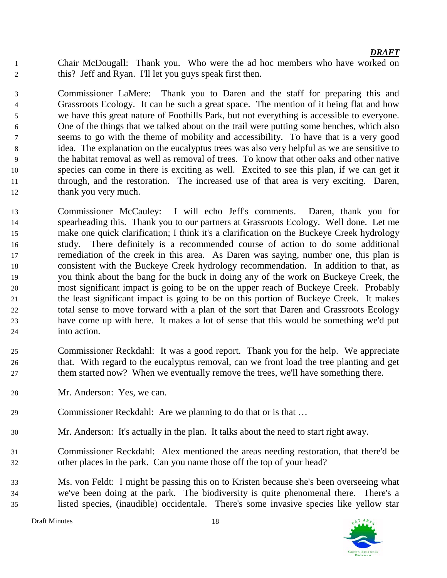Chair McDougall: Thank you. Who were the ad hoc members who have worked on this? Jeff and Ryan. I'll let you guys speak first then.

 Commissioner LaMere: Thank you to Daren and the staff for preparing this and Grassroots Ecology. It can be such a great space. The mention of it being flat and how we have this great nature of Foothills Park, but not everything is accessible to everyone. One of the things that we talked about on the trail were putting some benches, which also seems to go with the theme of mobility and accessibility. To have that is a very good idea. The explanation on the eucalyptus trees was also very helpful as we are sensitive to the habitat removal as well as removal of trees. To know that other oaks and other native species can come in there is exciting as well. Excited to see this plan, if we can get it through, and the restoration. The increased use of that area is very exciting. Daren, 12 thank you very much.

- Commissioner McCauley: I will echo Jeff's comments. Daren, thank you for spearheading this. Thank you to our partners at Grassroots Ecology. Well done. Let me make one quick clarification; I think it's a clarification on the Buckeye Creek hydrology study. There definitely is a recommended course of action to do some additional remediation of the creek in this area. As Daren was saying, number one, this plan is consistent with the Buckeye Creek hydrology recommendation. In addition to that, as you think about the bang for the buck in doing any of the work on Buckeye Creek, the most significant impact is going to be on the upper reach of Buckeye Creek. Probably the least significant impact is going to be on this portion of Buckeye Creek. It makes total sense to move forward with a plan of the sort that Daren and Grassroots Ecology have come up with here. It makes a lot of sense that this would be something we'd put into action.
- Commissioner Reckdahl: It was a good report. Thank you for the help. We appreciate that. With regard to the eucalyptus removal, can we front load the tree planting and get them started now? When we eventually remove the trees, we'll have something there.
- Mr. Anderson: Yes, we can.
- Commissioner Reckdahl: Are we planning to do that or is that …
- Mr. Anderson: It's actually in the plan. It talks about the need to start right away.
- Commissioner Reckdahl: Alex mentioned the areas needing restoration, that there'd be other places in the park. Can you name those off the top of your head?
- Ms. von Feldt: I might be passing this on to Kristen because she's been overseeing what we've been doing at the park. The biodiversity is quite phenomenal there. There's a listed species, (inaudible) occidentale. There's some invasive species like yellow star

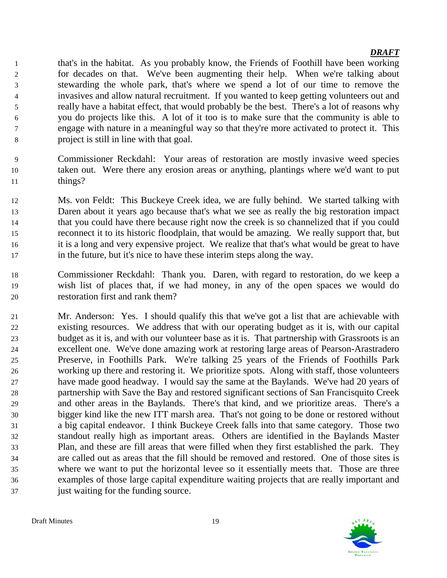that's in the habitat. As you probably know, the Friends of Foothill have been working for decades on that. We've been augmenting their help. When we're talking about stewarding the whole park, that's where we spend a lot of our time to remove the invasives and allow natural recruitment. If you wanted to keep getting volunteers out and really have a habitat effect, that would probably be the best. There's a lot of reasons why you do projects like this. A lot of it too is to make sure that the community is able to engage with nature in a meaningful way so that they're more activated to protect it. This project is still in line with that goal.

- Commissioner Reckdahl: Your areas of restoration are mostly invasive weed species taken out. Were there any erosion areas or anything, plantings where we'd want to put 11 things?
- Ms. von Feldt: This Buckeye Creek idea, we are fully behind. We started talking with Daren about it years ago because that's what we see as really the big restoration impact that you could have there because right now the creek is so channelized that if you could reconnect it to its historic floodplain, that would be amazing. We really support that, but it is a long and very expensive project. We realize that that's what would be great to have in the future, but it's nice to have these interim steps along the way.
- Commissioner Reckdahl: Thank you. Daren, with regard to restoration, do we keep a wish list of places that, if we had money, in any of the open spaces we would do restoration first and rank them?
- Mr. Anderson: Yes. I should qualify this that we've got a list that are achievable with existing resources. We address that with our operating budget as it is, with our capital budget as it is, and with our volunteer base as it is. That partnership with Grassroots is an excellent one. We've done amazing work at restoring large areas of Pearson-Arastradero Preserve, in Foothills Park. We're talking 25 years of the Friends of Foothills Park working up there and restoring it. We prioritize spots. Along with staff, those volunteers have made good headway. I would say the same at the Baylands. We've had 20 years of partnership with Save the Bay and restored significant sections of San Francisquito Creek and other areas in the Baylands. There's that kind, and we prioritize areas. There's a bigger kind like the new ITT marsh area. That's not going to be done or restored without a big capital endeavor. I think Buckeye Creek falls into that same category. Those two standout really high as important areas. Others are identified in the Baylands Master Plan, and these are fill areas that were filled when they first established the park. They are called out as areas that the fill should be removed and restored. One of those sites is where we want to put the horizontal levee so it essentially meets that. Those are three examples of those large capital expenditure waiting projects that are really important and just waiting for the funding source.

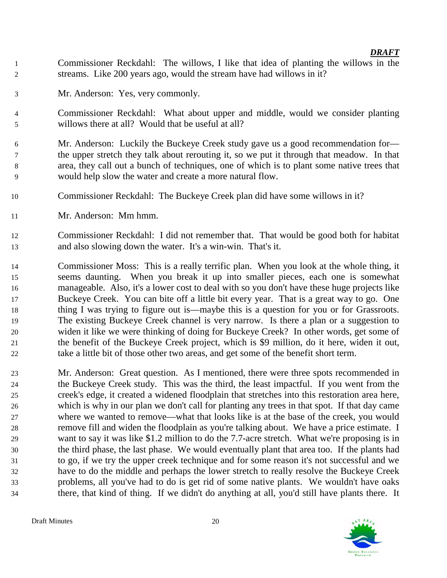- Commissioner Reckdahl: The willows, I like that idea of planting the willows in the streams. Like 200 years ago, would the stream have had willows in it?
- Mr. Anderson: Yes, very commonly.
- Commissioner Reckdahl: What about upper and middle, would we consider planting willows there at all? Would that be useful at all?
- Mr. Anderson: Luckily the Buckeye Creek study gave us a good recommendation for— the upper stretch they talk about rerouting it, so we put it through that meadow. In that area, they call out a bunch of techniques, one of which is to plant some native trees that would help slow the water and create a more natural flow.
- Commissioner Reckdahl: The Buckeye Creek plan did have some willows in it?
- Mr. Anderson: Mm hmm.
- Commissioner Reckdahl: I did not remember that. That would be good both for habitat and also slowing down the water. It's a win-win. That's it.
- Commissioner Moss: This is a really terrific plan. When you look at the whole thing, it seems daunting. When you break it up into smaller pieces, each one is somewhat manageable. Also, it's a lower cost to deal with so you don't have these huge projects like Buckeye Creek. You can bite off a little bit every year. That is a great way to go. One 18 thing I was trying to figure out is—maybe this is a question for you or for Grassroots. The existing Buckeye Creek channel is very narrow. Is there a plan or a suggestion to widen it like we were thinking of doing for Buckeye Creek? In other words, get some of the benefit of the Buckeye Creek project, which is \$9 million, do it here, widen it out, take a little bit of those other two areas, and get some of the benefit short term.
- Mr. Anderson: Great question. As I mentioned, there were three spots recommended in the Buckeye Creek study. This was the third, the least impactful. If you went from the creek's edge, it created a widened floodplain that stretches into this restoration area here, which is why in our plan we don't call for planting any trees in that spot. If that day came where we wanted to remove—what that looks like is at the base of the creek, you would remove fill and widen the floodplain as you're talking about. We have a price estimate. I want to say it was like \$1.2 million to do the 7.7-acre stretch. What we're proposing is in the third phase, the last phase. We would eventually plant that area too. If the plants had to go, if we try the upper creek technique and for some reason it's not successful and we have to do the middle and perhaps the lower stretch to really resolve the Buckeye Creek problems, all you've had to do is get rid of some native plants. We wouldn't have oaks there, that kind of thing. If we didn't do anything at all, you'd still have plants there. It

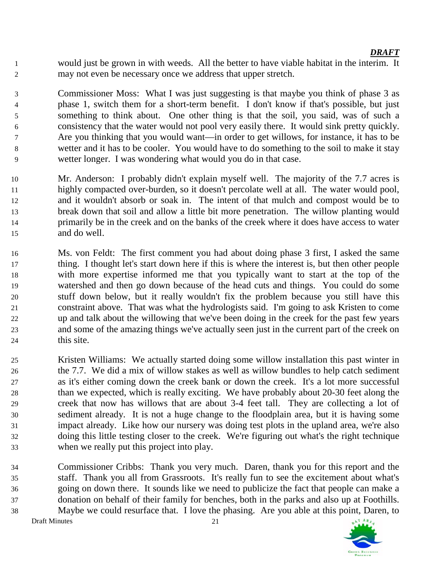would just be grown in with weeds. All the better to have viable habitat in the interim. It may not even be necessary once we address that upper stretch.

 Commissioner Moss: What I was just suggesting is that maybe you think of phase 3 as phase 1, switch them for a short-term benefit. I don't know if that's possible, but just something to think about. One other thing is that the soil, you said, was of such a consistency that the water would not pool very easily there. It would sink pretty quickly. Are you thinking that you would want—in order to get willows, for instance, it has to be wetter and it has to be cooler. You would have to do something to the soil to make it stay wetter longer. I was wondering what would you do in that case.

- Mr. Anderson: I probably didn't explain myself well. The majority of the 7.7 acres is highly compacted over-burden, so it doesn't percolate well at all. The water would pool, and it wouldn't absorb or soak in. The intent of that mulch and compost would be to break down that soil and allow a little bit more penetration. The willow planting would primarily be in the creek and on the banks of the creek where it does have access to water and do well.
- Ms. von Feldt: The first comment you had about doing phase 3 first, I asked the same thing. I thought let's start down here if this is where the interest is, but then other people with more expertise informed me that you typically want to start at the top of the watershed and then go down because of the head cuts and things. You could do some stuff down below, but it really wouldn't fix the problem because you still have this constraint above. That was what the hydrologists said. I'm going to ask Kristen to come up and talk about the willowing that we've been doing in the creek for the past few years and some of the amazing things we've actually seen just in the current part of the creek on this site.
- Kristen Williams: We actually started doing some willow installation this past winter in the 7.7. We did a mix of willow stakes as well as willow bundles to help catch sediment as it's either coming down the creek bank or down the creek. It's a lot more successful than we expected, which is really exciting. We have probably about 20-30 feet along the creek that now has willows that are about 3-4 feet tall. They are collecting a lot of sediment already. It is not a huge change to the floodplain area, but it is having some impact already. Like how our nursery was doing test plots in the upland area, we're also doing this little testing closer to the creek. We're figuring out what's the right technique when we really put this project into play.
- Commissioner Cribbs: Thank you very much. Daren, thank you for this report and the staff. Thank you all from Grassroots. It's really fun to see the excitement about what's going on down there. It sounds like we need to publicize the fact that people can make a donation on behalf of their family for benches, both in the parks and also up at Foothills. Maybe we could resurface that. I love the phasing. Are you able at this point, Daren, to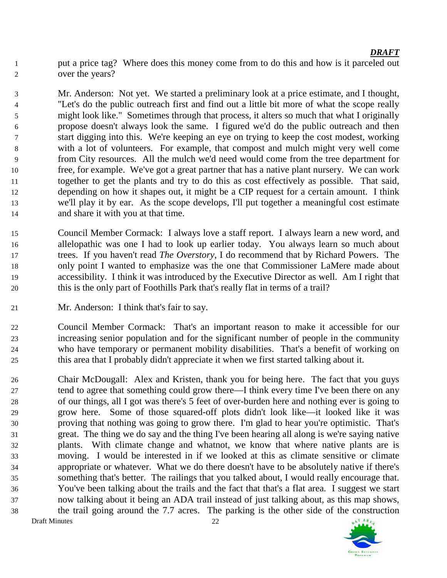put a price tag? Where does this money come from to do this and how is it parceled out over the years?

 Mr. Anderson: Not yet. We started a preliminary look at a price estimate, and I thought, "Let's do the public outreach first and find out a little bit more of what the scope really might look like." Sometimes through that process, it alters so much that what I originally propose doesn't always look the same. I figured we'd do the public outreach and then start digging into this. We're keeping an eye on trying to keep the cost modest, working with a lot of volunteers. For example, that compost and mulch might very well come from City resources. All the mulch we'd need would come from the tree department for free, for example. We've got a great partner that has a native plant nursery. We can work together to get the plants and try to do this as cost effectively as possible. That said, depending on how it shapes out, it might be a CIP request for a certain amount. I think we'll play it by ear. As the scope develops, I'll put together a meaningful cost estimate and share it with you at that time.

- Council Member Cormack: I always love a staff report. I always learn a new word, and allelopathic was one I had to look up earlier today. You always learn so much about trees. If you haven't read *The Overstory*, I do recommend that by Richard Powers. The only point I wanted to emphasize was the one that Commissioner LaMere made about accessibility. I think it was introduced by the Executive Director as well. Am I right that this is the only part of Foothills Park that's really flat in terms of a trail?
- Mr. Anderson: I think that's fair to say.

 Council Member Cormack: That's an important reason to make it accessible for our increasing senior population and for the significant number of people in the community who have temporary or permanent mobility disabilities. That's a benefit of working on this area that I probably didn't appreciate it when we first started talking about it.

Draft Minutes 22 Chair McDougall: Alex and Kristen, thank you for being here. The fact that you guys tend to agree that something could grow there—I think every time I've been there on any of our things, all I got was there's 5 feet of over-burden here and nothing ever is going to grow here. Some of those squared-off plots didn't look like—it looked like it was proving that nothing was going to grow there. I'm glad to hear you're optimistic. That's great. The thing we do say and the thing I've been hearing all along is we're saying native plants. With climate change and whatnot, we know that where native plants are is moving. I would be interested in if we looked at this as climate sensitive or climate appropriate or whatever. What we do there doesn't have to be absolutely native if there's something that's better. The railings that you talked about, I would really encourage that. You've been talking about the trails and the fact that that's a flat area. I suggest we start now talking about it being an ADA trail instead of just talking about, as this map shows, the trail going around the 7.7 acres. The parking is the other side of the construction

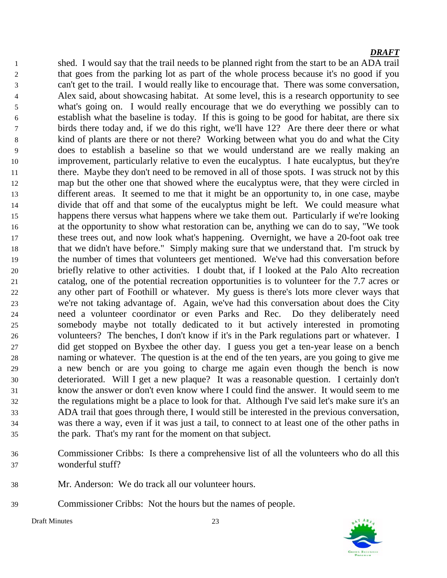shed. I would say that the trail needs to be planned right from the start to be an ADA trail that goes from the parking lot as part of the whole process because it's no good if you can't get to the trail. I would really like to encourage that. There was some conversation, Alex said, about showcasing habitat. At some level, this is a research opportunity to see what's going on. I would really encourage that we do everything we possibly can to establish what the baseline is today. If this is going to be good for habitat, are there six birds there today and, if we do this right, we'll have 12? Are there deer there or what kind of plants are there or not there? Working between what you do and what the City does to establish a baseline so that we would understand are we really making an improvement, particularly relative to even the eucalyptus. I hate eucalyptus, but they're there. Maybe they don't need to be removed in all of those spots. I was struck not by this map but the other one that showed where the eucalyptus were, that they were circled in different areas. It seemed to me that it might be an opportunity to, in one case, maybe divide that off and that some of the eucalyptus might be left. We could measure what happens there versus what happens where we take them out. Particularly if we're looking at the opportunity to show what restoration can be, anything we can do to say, "We took these trees out, and now look what's happening. Overnight, we have a 20-foot oak tree that we didn't have before." Simply making sure that we understand that. I'm struck by the number of times that volunteers get mentioned. We've had this conversation before briefly relative to other activities. I doubt that, if I looked at the Palo Alto recreation catalog, one of the potential recreation opportunities is to volunteer for the 7.7 acres or any other part of Foothill or whatever. My guess is there's lots more clever ways that we're not taking advantage of. Again, we've had this conversation about does the City need a volunteer coordinator or even Parks and Rec. Do they deliberately need somebody maybe not totally dedicated to it but actively interested in promoting volunteers? The benches, I don't know if it's in the Park regulations part or whatever. I did get stopped on Byxbee the other day. I guess you get a ten-year lease on a bench naming or whatever. The question is at the end of the ten years, are you going to give me a new bench or are you going to charge me again even though the bench is now deteriorated. Will I get a new plaque? It was a reasonable question. I certainly don't know the answer or don't even know where I could find the answer. It would seem to me the regulations might be a place to look for that. Although I've said let's make sure it's an ADA trail that goes through there, I would still be interested in the previous conversation, was there a way, even if it was just a tail, to connect to at least one of the other paths in the park. That's my rant for the moment on that subject.

- Commissioner Cribbs: Is there a comprehensive list of all the volunteers who do all this wonderful stuff?
- Mr. Anderson: We do track all our volunteer hours.
- Commissioner Cribbs: Not the hours but the names of people.

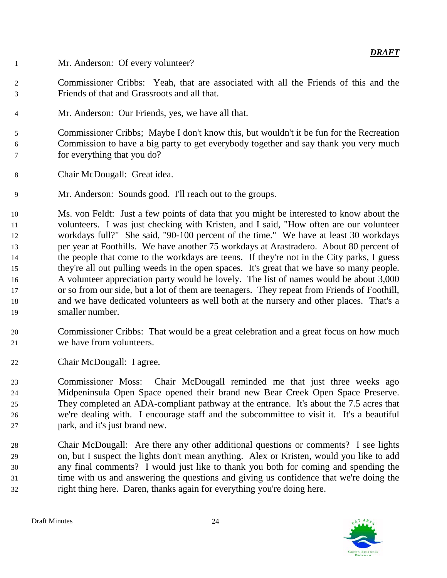- Mr. Anderson: Of every volunteer?
- Commissioner Cribbs: Yeah, that are associated with all the Friends of this and the Friends of that and Grassroots and all that.
- Mr. Anderson: Our Friends, yes, we have all that.

 Commissioner Cribbs; Maybe I don't know this, but wouldn't it be fun for the Recreation Commission to have a big party to get everybody together and say thank you very much for everything that you do?

- Chair McDougall: Great idea.
- Mr. Anderson: Sounds good. I'll reach out to the groups.

 Ms. von Feldt: Just a few points of data that you might be interested to know about the volunteers. I was just checking with Kristen, and I said, "How often are our volunteer workdays full?" She said, "90-100 percent of the time." We have at least 30 workdays per year at Foothills. We have another 75 workdays at Arastradero. About 80 percent of the people that come to the workdays are teens. If they're not in the City parks, I guess they're all out pulling weeds in the open spaces. It's great that we have so many people. A volunteer appreciation party would be lovely. The list of names would be about 3,000 or so from our side, but a lot of them are teenagers. They repeat from Friends of Foothill, and we have dedicated volunteers as well both at the nursery and other places. That's a smaller number.

- Commissioner Cribbs: That would be a great celebration and a great focus on how much we have from volunteers.
- Chair McDougall: I agree.

 Commissioner Moss: Chair McDougall reminded me that just three weeks ago Midpeninsula Open Space opened their brand new Bear Creek Open Space Preserve. They completed an ADA-compliant pathway at the entrance. It's about the 7.5 acres that we're dealing with. I encourage staff and the subcommittee to visit it. It's a beautiful park, and it's just brand new.

 Chair McDougall: Are there any other additional questions or comments? I see lights on, but I suspect the lights don't mean anything. Alex or Kristen, would you like to add any final comments? I would just like to thank you both for coming and spending the time with us and answering the questions and giving us confidence that we're doing the right thing here. Daren, thanks again for everything you're doing here.

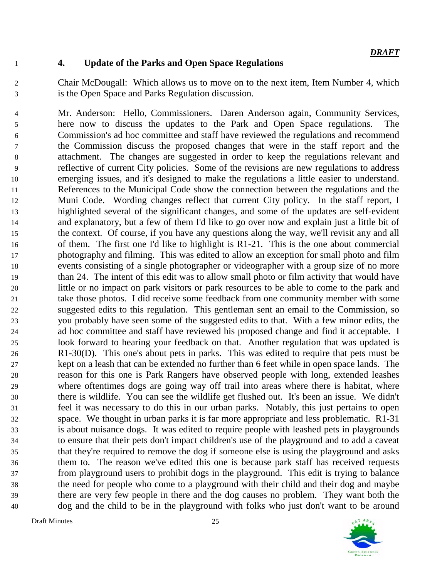## **4. Update of the Parks and Open Space Regulations**

 Chair McDougall: Which allows us to move on to the next item, Item Number 4, which is the Open Space and Parks Regulation discussion.

 Mr. Anderson: Hello, Commissioners. Daren Anderson again, Community Services, here now to discuss the updates to the Park and Open Space regulations. The Commission's ad hoc committee and staff have reviewed the regulations and recommend the Commission discuss the proposed changes that were in the staff report and the attachment. The changes are suggested in order to keep the regulations relevant and reflective of current City policies. Some of the revisions are new regulations to address emerging issues, and it's designed to make the regulations a little easier to understand. References to the Municipal Code show the connection between the regulations and the Muni Code. Wording changes reflect that current City policy. In the staff report, I highlighted several of the significant changes, and some of the updates are self-evident and explanatory, but a few of them I'd like to go over now and explain just a little bit of the context. Of course, if you have any questions along the way, we'll revisit any and all of them. The first one I'd like to highlight is R1-21. This is the one about commercial photography and filming. This was edited to allow an exception for small photo and film events consisting of a single photographer or videographer with a group size of no more than 24. The intent of this edit was to allow small photo or film activity that would have little or no impact on park visitors or park resources to be able to come to the park and take those photos. I did receive some feedback from one community member with some suggested edits to this regulation. This gentleman sent an email to the Commission, so you probably have seen some of the suggested edits to that. With a few minor edits, the ad hoc committee and staff have reviewed his proposed change and find it acceptable. I look forward to hearing your feedback on that. Another regulation that was updated is R1-30(D). This one's about pets in parks. This was edited to require that pets must be kept on a leash that can be extended no further than 6 feet while in open space lands. The reason for this one is Park Rangers have observed people with long, extended leashes where oftentimes dogs are going way off trail into areas where there is habitat, where there is wildlife. You can see the wildlife get flushed out. It's been an issue. We didn't feel it was necessary to do this in our urban parks. Notably, this just pertains to open space. We thought in urban parks it is far more appropriate and less problematic. R1-31 is about nuisance dogs. It was edited to require people with leashed pets in playgrounds to ensure that their pets don't impact children's use of the playground and to add a caveat that they're required to remove the dog if someone else is using the playground and asks them to. The reason we've edited this one is because park staff has received requests from playground users to prohibit dogs in the playground. This edit is trying to balance the need for people who come to a playground with their child and their dog and maybe there are very few people in there and the dog causes no problem. They want both the dog and the child to be in the playground with folks who just don't want to be around

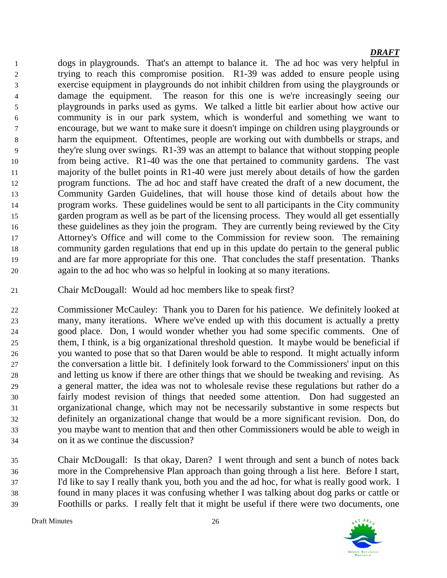dogs in playgrounds. That's an attempt to balance it. The ad hoc was very helpful in trying to reach this compromise position. R1-39 was added to ensure people using exercise equipment in playgrounds do not inhibit children from using the playgrounds or damage the equipment. The reason for this one is we're increasingly seeing our playgrounds in parks used as gyms. We talked a little bit earlier about how active our community is in our park system, which is wonderful and something we want to encourage, but we want to make sure it doesn't impinge on children using playgrounds or harm the equipment. Oftentimes, people are working out with dumbbells or straps, and they're slung over swings. R1-39 was an attempt to balance that without stopping people from being active. R1-40 was the one that pertained to community gardens. The vast majority of the bullet points in R1-40 were just merely about details of how the garden program functions. The ad hoc and staff have created the draft of a new document, the Community Garden Guidelines, that will house those kind of details about how the program works. These guidelines would be sent to all participants in the City community garden program as well as be part of the licensing process. They would all get essentially these guidelines as they join the program. They are currently being reviewed by the City Attorney's Office and will come to the Commission for review soon. The remaining community garden regulations that end up in this update do pertain to the general public and are far more appropriate for this one. That concludes the staff presentation. Thanks again to the ad hoc who was so helpful in looking at so many iterations.

Chair McDougall: Would ad hoc members like to speak first?

 Commissioner McCauley: Thank you to Daren for his patience. We definitely looked at many, many iterations. Where we've ended up with this document is actually a pretty good place. Don, I would wonder whether you had some specific comments. One of them, I think, is a big organizational threshold question. It maybe would be beneficial if you wanted to pose that so that Daren would be able to respond. It might actually inform the conversation a little bit. I definitely look forward to the Commissioners' input on this and letting us know if there are other things that we should be tweaking and revising. As a general matter, the idea was not to wholesale revise these regulations but rather do a fairly modest revision of things that needed some attention. Don had suggested an organizational change, which may not be necessarily substantive in some respects but definitely an organizational change that would be a more significant revision. Don, do you maybe want to mention that and then other Commissioners would be able to weigh in on it as we continue the discussion?

 Chair McDougall: Is that okay, Daren? I went through and sent a bunch of notes back more in the Comprehensive Plan approach than going through a list here. Before I start, I'd like to say I really thank you, both you and the ad hoc, for what is really good work. I found in many places it was confusing whether I was talking about dog parks or cattle or Foothills or parks. I really felt that it might be useful if there were two documents, one

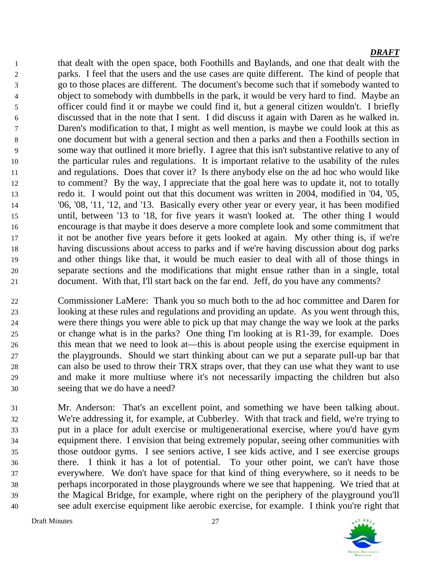that dealt with the open space, both Foothills and Baylands, and one that dealt with the parks. I feel that the users and the use cases are quite different. The kind of people that go to those places are different. The document's become such that if somebody wanted to object to somebody with dumbbells in the park, it would be very hard to find. Maybe an officer could find it or maybe we could find it, but a general citizen wouldn't. I briefly discussed that in the note that I sent. I did discuss it again with Daren as he walked in. Daren's modification to that, I might as well mention, is maybe we could look at this as one document but with a general section and then a parks and then a Foothills section in some way that outlined it more briefly. I agree that this isn't substantive relative to any of the particular rules and regulations. It is important relative to the usability of the rules and regulations. Does that cover it? Is there anybody else on the ad hoc who would like to comment? By the way, I appreciate that the goal here was to update it, not to totally redo it. I would point out that this document was written in 2004, modified in '04, '05, '06, '08, '11, '12, and '13. Basically every other year or every year, it has been modified until, between '13 to '18, for five years it wasn't looked at. The other thing I would encourage is that maybe it does deserve a more complete look and some commitment that it not be another five years before it gets looked at again. My other thing is, if we're having discussions about access to parks and if we're having discussion about dog parks and other things like that, it would be much easier to deal with all of those things in separate sections and the modifications that might ensue rather than in a single, total document. With that, I'll start back on the far end. Jeff, do you have any comments?

 Commissioner LaMere: Thank you so much both to the ad hoc committee and Daren for looking at these rules and regulations and providing an update. As you went through this, were there things you were able to pick up that may change the way we look at the parks or change what is in the parks? One thing I'm looking at is R1-39, for example. Does this mean that we need to look at—this is about people using the exercise equipment in the playgrounds. Should we start thinking about can we put a separate pull-up bar that can also be used to throw their TRX straps over, that they can use what they want to use and make it more multiuse where it's not necessarily impacting the children but also seeing that we do have a need?

 Mr. Anderson: That's an excellent point, and something we have been talking about. We're addressing it, for example, at Cubberley. With that track and field, we're trying to put in a place for adult exercise or multigenerational exercise, where you'd have gym equipment there. I envision that being extremely popular, seeing other communities with those outdoor gyms. I see seniors active, I see kids active, and I see exercise groups there. I think it has a lot of potential. To your other point, we can't have those everywhere. We don't have space for that kind of thing everywhere, so it needs to be perhaps incorporated in those playgrounds where we see that happening. We tried that at the Magical Bridge, for example, where right on the periphery of the playground you'll see adult exercise equipment like aerobic exercise, for example. I think you're right that

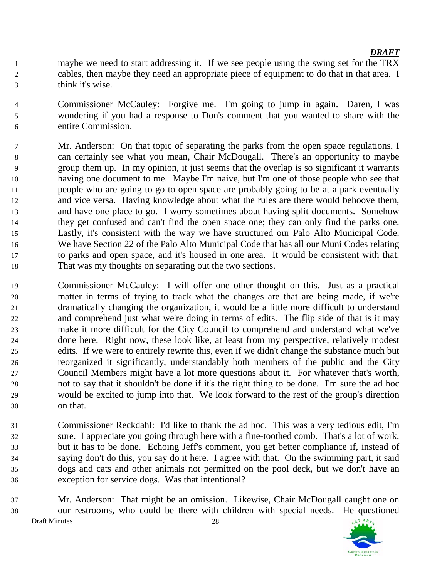- maybe we need to start addressing it. If we see people using the swing set for the TRX cables, then maybe they need an appropriate piece of equipment to do that in that area. I think it's wise.
- Commissioner McCauley: Forgive me. I'm going to jump in again. Daren, I was wondering if you had a response to Don's comment that you wanted to share with the entire Commission.
- Mr. Anderson: On that topic of separating the parks from the open space regulations, I can certainly see what you mean, Chair McDougall. There's an opportunity to maybe group them up. In my opinion, it just seems that the overlap is so significant it warrants having one document to me. Maybe I'm naive, but I'm one of those people who see that people who are going to go to open space are probably going to be at a park eventually and vice versa. Having knowledge about what the rules are there would behoove them, and have one place to go. I worry sometimes about having split documents. Somehow they get confused and can't find the open space one; they can only find the parks one. Lastly, it's consistent with the way we have structured our Palo Alto Municipal Code. We have Section 22 of the Palo Alto Municipal Code that has all our Muni Codes relating to parks and open space, and it's housed in one area. It would be consistent with that. That was my thoughts on separating out the two sections.
- Commissioner McCauley: I will offer one other thought on this. Just as a practical matter in terms of trying to track what the changes are that are being made, if we're dramatically changing the organization, it would be a little more difficult to understand and comprehend just what we're doing in terms of edits. The flip side of that is it may make it more difficult for the City Council to comprehend and understand what we've done here. Right now, these look like, at least from my perspective, relatively modest edits. If we were to entirely rewrite this, even if we didn't change the substance much but reorganized it significantly, understandably both members of the public and the City Council Members might have a lot more questions about it. For whatever that's worth, not to say that it shouldn't be done if it's the right thing to be done. I'm sure the ad hoc would be excited to jump into that. We look forward to the rest of the group's direction on that.
- Commissioner Reckdahl: I'd like to thank the ad hoc. This was a very tedious edit, I'm sure. I appreciate you going through here with a fine-toothed comb. That's a lot of work, but it has to be done. Echoing Jeff's comment, you get better compliance if, instead of saying don't do this, you say do it here. I agree with that. On the swimming part, it said dogs and cats and other animals not permitted on the pool deck, but we don't have an exception for service dogs. Was that intentional?
- Draft Minutes 28 Mr. Anderson: That might be an omission. Likewise, Chair McDougall caught one on our restrooms, who could be there with children with special needs. He questioned

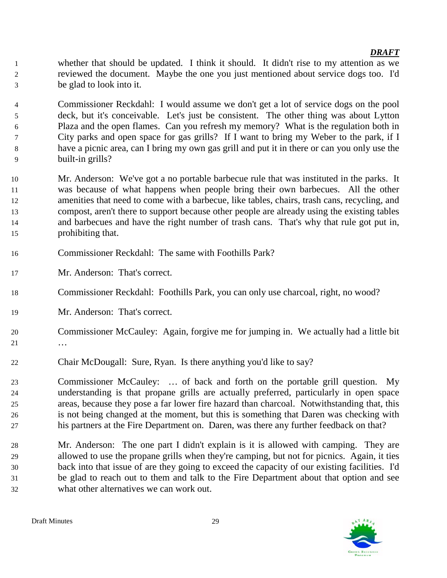whether that should be updated. I think it should. It didn't rise to my attention as we reviewed the document. Maybe the one you just mentioned about service dogs too. I'd be glad to look into it.

 Commissioner Reckdahl: I would assume we don't get a lot of service dogs on the pool deck, but it's conceivable. Let's just be consistent. The other thing was about Lytton Plaza and the open flames. Can you refresh my memory? What is the regulation both in City parks and open space for gas grills? If I want to bring my Weber to the park, if I have a picnic area, can I bring my own gas grill and put it in there or can you only use the built-in grills?

 Mr. Anderson: We've got a no portable barbecue rule that was instituted in the parks. It was because of what happens when people bring their own barbecues. All the other amenities that need to come with a barbecue, like tables, chairs, trash cans, recycling, and compost, aren't there to support because other people are already using the existing tables and barbecues and have the right number of trash cans. That's why that rule got put in, prohibiting that.

- Commissioner Reckdahl: The same with Foothills Park?
- Mr. Anderson: That's correct.
- Commissioner Reckdahl: Foothills Park, you can only use charcoal, right, no wood?
- Mr. Anderson: That's correct.
- Commissioner McCauley: Again, forgive me for jumping in. We actually had a little bit …
- Chair McDougall: Sure, Ryan. Is there anything you'd like to say?

 Commissioner McCauley: … of back and forth on the portable grill question. My understanding is that propane grills are actually preferred, particularly in open space areas, because they pose a far lower fire hazard than charcoal. Notwithstanding that, this is not being changed at the moment, but this is something that Daren was checking with his partners at the Fire Department on. Daren, was there any further feedback on that?

 Mr. Anderson: The one part I didn't explain is it is allowed with camping. They are allowed to use the propane grills when they're camping, but not for picnics. Again, it ties back into that issue of are they going to exceed the capacity of our existing facilities. I'd be glad to reach out to them and talk to the Fire Department about that option and see what other alternatives we can work out.

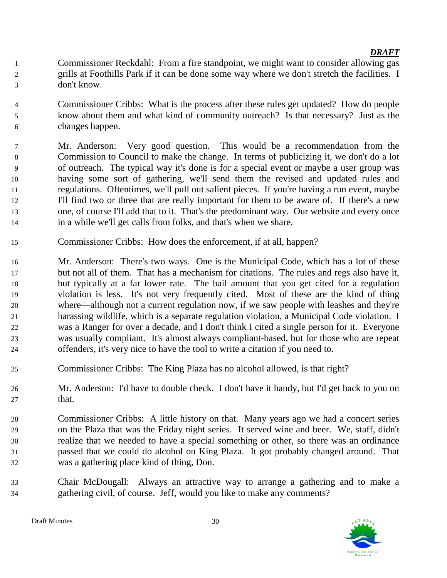- Commissioner Reckdahl: From a fire standpoint, we might want to consider allowing gas grills at Foothills Park if it can be done some way where we don't stretch the facilities. I don't know.
- Commissioner Cribbs: What is the process after these rules get updated? How do people know about them and what kind of community outreach? Is that necessary? Just as the changes happen.
- Mr. Anderson: Very good question. This would be a recommendation from the Commission to Council to make the change. In terms of publicizing it, we don't do a lot of outreach. The typical way it's done is for a special event or maybe a user group was having some sort of gathering, we'll send them the revised and updated rules and regulations. Oftentimes, we'll pull out salient pieces. If you're having a run event, maybe I'll find two or three that are really important for them to be aware of. If there's a new one, of course I'll add that to it. That's the predominant way. Our website and every once in a while we'll get calls from folks, and that's when we share.
- Commissioner Cribbs: How does the enforcement, if at all, happen?
- Mr. Anderson: There's two ways. One is the Municipal Code, which has a lot of these but not all of them. That has a mechanism for citations. The rules and regs also have it, but typically at a far lower rate. The bail amount that you get cited for a regulation violation is less. It's not very frequently cited. Most of these are the kind of thing where—although not a current regulation now, if we saw people with leashes and they're harassing wildlife, which is a separate regulation violation, a Municipal Code violation. I was a Ranger for over a decade, and I don't think I cited a single person for it. Everyone was usually compliant. It's almost always compliant-based, but for those who are repeat offenders, it's very nice to have the tool to write a citation if you need to.
- Commissioner Cribbs: The King Plaza has no alcohol allowed, is that right?
- Mr. Anderson: I'd have to double check. I don't have it handy, but I'd get back to you on that.
- Commissioner Cribbs: A little history on that. Many years ago we had a concert series on the Plaza that was the Friday night series. It served wine and beer. We, staff, didn't realize that we needed to have a special something or other, so there was an ordinance passed that we could do alcohol on King Plaza. It got probably changed around. That was a gathering place kind of thing, Don.
- Chair McDougall: Always an attractive way to arrange a gathering and to make a gathering civil, of course. Jeff, would you like to make any comments?

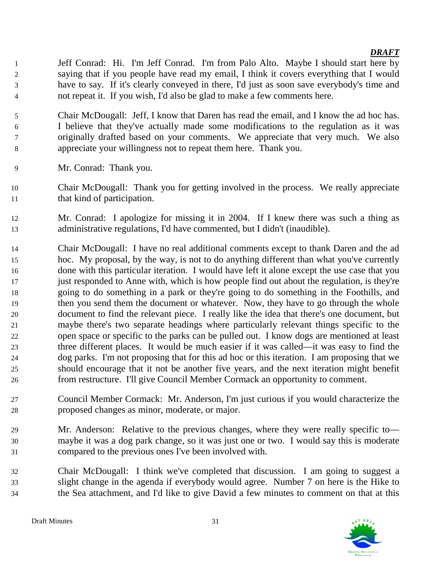Jeff Conrad: Hi. I'm Jeff Conrad. I'm from Palo Alto. Maybe I should start here by saying that if you people have read my email, I think it covers everything that I would have to say. If it's clearly conveyed in there, I'd just as soon save everybody's time and not repeat it. If you wish, I'd also be glad to make a few comments here.

- Chair McDougall: Jeff, I know that Daren has read the email, and I know the ad hoc has. I believe that they've actually made some modifications to the regulation as it was originally drafted based on your comments. We appreciate that very much. We also appreciate your willingness not to repeat them here. Thank you.
- Mr. Conrad: Thank you.
- Chair McDougall: Thank you for getting involved in the process. We really appreciate that kind of participation.
- Mr. Conrad: I apologize for missing it in 2004. If I knew there was such a thing as administrative regulations, I'd have commented, but I didn't (inaudible).
- Chair McDougall: I have no real additional comments except to thank Daren and the ad hoc. My proposal, by the way, is not to do anything different than what you've currently done with this particular iteration. I would have left it alone except the use case that you 17 just responded to Anne with, which is how people find out about the regulation, is they're going to do something in a park or they're going to do something in the Foothills, and then you send them the document or whatever. Now, they have to go through the whole document to find the relevant piece. I really like the idea that there's one document, but maybe there's two separate headings where particularly relevant things specific to the open space or specific to the parks can be pulled out. I know dogs are mentioned at least three different places. It would be much easier if it was called—it was easy to find the dog parks. I'm not proposing that for this ad hoc or this iteration. I am proposing that we should encourage that it not be another five years, and the next iteration might benefit from restructure. I'll give Council Member Cormack an opportunity to comment.
- Council Member Cormack: Mr. Anderson, I'm just curious if you would characterize the proposed changes as minor, moderate, or major.
- Mr. Anderson: Relative to the previous changes, where they were really specific to— maybe it was a dog park change, so it was just one or two. I would say this is moderate compared to the previous ones I've been involved with.
- Chair McDougall: I think we've completed that discussion. I am going to suggest a slight change in the agenda if everybody would agree. Number 7 on here is the Hike to the Sea attachment, and I'd like to give David a few minutes to comment on that at this

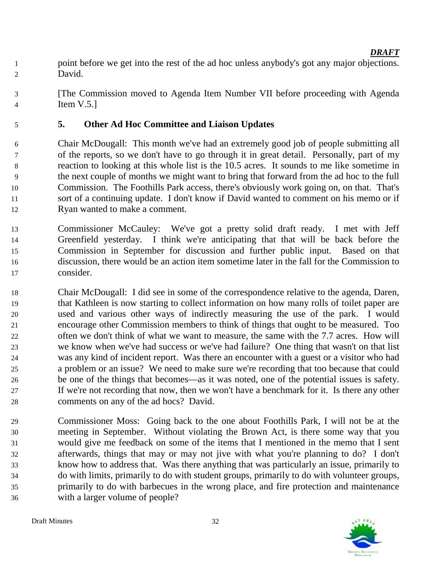- point before we get into the rest of the ad hoc unless anybody's got any major objections. David.
- [The Commission moved to Agenda Item Number VII before proceeding with Agenda Item V.5.]

## **5. Other Ad Hoc Committee and Liaison Updates**

 Chair McDougall: This month we've had an extremely good job of people submitting all of the reports, so we don't have to go through it in great detail. Personally, part of my reaction to looking at this whole list is the 10.5 acres. It sounds to me like sometime in the next couple of months we might want to bring that forward from the ad hoc to the full Commission. The Foothills Park access, there's obviously work going on, on that. That's sort of a continuing update. I don't know if David wanted to comment on his memo or if Ryan wanted to make a comment.

- Commissioner McCauley: We've got a pretty solid draft ready. I met with Jeff Greenfield yesterday. I think we're anticipating that that will be back before the Commission in September for discussion and further public input. Based on that discussion, there would be an action item sometime later in the fall for the Commission to consider.
- Chair McDougall: I did see in some of the correspondence relative to the agenda, Daren, that Kathleen is now starting to collect information on how many rolls of toilet paper are used and various other ways of indirectly measuring the use of the park. I would encourage other Commission members to think of things that ought to be measured. Too often we don't think of what we want to measure, the same with the 7.7 acres. How will we know when we've had success or we've had failure? One thing that wasn't on that list was any kind of incident report. Was there an encounter with a guest or a visitor who had a problem or an issue? We need to make sure we're recording that too because that could be one of the things that becomes—as it was noted, one of the potential issues is safety. If we're not recording that now, then we won't have a benchmark for it. Is there any other comments on any of the ad hocs? David.
- Commissioner Moss: Going back to the one about Foothills Park, I will not be at the meeting in September. Without violating the Brown Act, is there some way that you would give me feedback on some of the items that I mentioned in the memo that I sent afterwards, things that may or may not jive with what you're planning to do? I don't know how to address that. Was there anything that was particularly an issue, primarily to do with limits, primarily to do with student groups, primarily to do with volunteer groups, primarily to do with barbecues in the wrong place, and fire protection and maintenance with a larger volume of people?

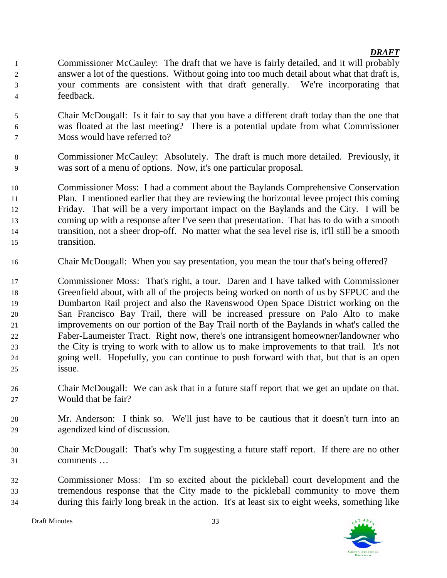- Commissioner McCauley: The draft that we have is fairly detailed, and it will probably answer a lot of the questions. Without going into too much detail about what that draft is, your comments are consistent with that draft generally. We're incorporating that feedback.
- Chair McDougall: Is it fair to say that you have a different draft today than the one that was floated at the last meeting? There is a potential update from what Commissioner Moss would have referred to?
- Commissioner McCauley: Absolutely. The draft is much more detailed. Previously, it was sort of a menu of options. Now, it's one particular proposal.
- Commissioner Moss: I had a comment about the Baylands Comprehensive Conservation Plan. I mentioned earlier that they are reviewing the horizontal levee project this coming Friday. That will be a very important impact on the Baylands and the City. I will be coming up with a response after I've seen that presentation. That has to do with a smooth transition, not a sheer drop-off. No matter what the sea level rise is, it'll still be a smooth transition.
- Chair McDougall: When you say presentation, you mean the tour that's being offered?
- Commissioner Moss: That's right, a tour. Daren and I have talked with Commissioner Greenfield about, with all of the projects being worked on north of us by SFPUC and the Dumbarton Rail project and also the Ravenswood Open Space District working on the San Francisco Bay Trail, there will be increased pressure on Palo Alto to make improvements on our portion of the Bay Trail north of the Baylands in what's called the Faber-Laumeister Tract. Right now, there's one intransigent homeowner/landowner who the City is trying to work with to allow us to make improvements to that trail. It's not going well. Hopefully, you can continue to push forward with that, but that is an open issue.
- Chair McDougall: We can ask that in a future staff report that we get an update on that. Would that be fair?
- Mr. Anderson: I think so. We'll just have to be cautious that it doesn't turn into an agendized kind of discussion.
- Chair McDougall: That's why I'm suggesting a future staff report. If there are no other comments …
- Commissioner Moss: I'm so excited about the pickleball court development and the tremendous response that the City made to the pickleball community to move them during this fairly long break in the action. It's at least six to eight weeks, something like

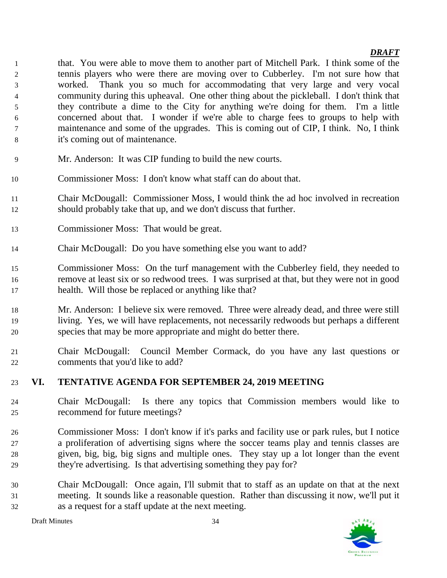that. You were able to move them to another part of Mitchell Park. I think some of the tennis players who were there are moving over to Cubberley. I'm not sure how that worked. Thank you so much for accommodating that very large and very vocal community during this upheaval. One other thing about the pickleball. I don't think that they contribute a dime to the City for anything we're doing for them. I'm a little concerned about that. I wonder if we're able to charge fees to groups to help with maintenance and some of the upgrades. This is coming out of CIP, I think. No, I think it's coming out of maintenance.

- Mr. Anderson: It was CIP funding to build the new courts.
- Commissioner Moss: I don't know what staff can do about that.
- Chair McDougall: Commissioner Moss, I would think the ad hoc involved in recreation should probably take that up, and we don't discuss that further.
- Commissioner Moss: That would be great.
- Chair McDougall: Do you have something else you want to add?
- Commissioner Moss: On the turf management with the Cubberley field, they needed to remove at least six or so redwood trees. I was surprised at that, but they were not in good health. Will those be replaced or anything like that?
- Mr. Anderson: I believe six were removed. Three were already dead, and three were still living. Yes, we will have replacements, not necessarily redwoods but perhaps a different species that may be more appropriate and might do better there.
- Chair McDougall: Council Member Cormack, do you have any last questions or comments that you'd like to add?

## **VI. TENTATIVE AGENDA FOR SEPTEMBER 24, 2019 MEETING**

- Chair McDougall: Is there any topics that Commission members would like to recommend for future meetings?
- Commissioner Moss: I don't know if it's parks and facility use or park rules, but I notice a proliferation of advertising signs where the soccer teams play and tennis classes are given, big, big, big signs and multiple ones. They stay up a lot longer than the event they're advertising. Is that advertising something they pay for?
- Chair McDougall: Once again, I'll submit that to staff as an update on that at the next meeting. It sounds like a reasonable question. Rather than discussing it now, we'll put it as a request for a staff update at the next meeting.

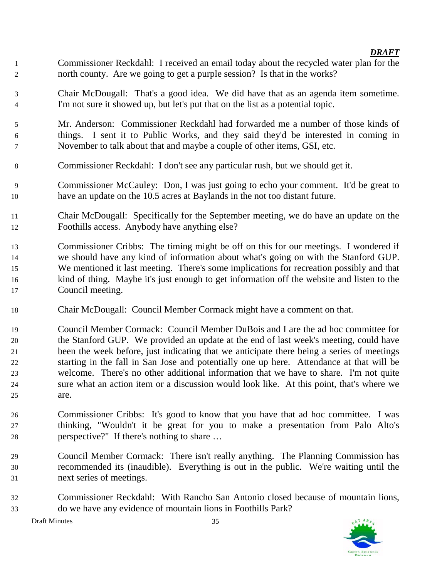- Commissioner Reckdahl: I received an email today about the recycled water plan for the north county. Are we going to get a purple session? Is that in the works?
- Chair McDougall: That's a good idea. We did have that as an agenda item sometime. I'm not sure it showed up, but let's put that on the list as a potential topic.
- Mr. Anderson: Commissioner Reckdahl had forwarded me a number of those kinds of things. I sent it to Public Works, and they said they'd be interested in coming in November to talk about that and maybe a couple of other items, GSI, etc.
- Commissioner Reckdahl: I don't see any particular rush, but we should get it.
- Commissioner McCauley: Don, I was just going to echo your comment. It'd be great to have an update on the 10.5 acres at Baylands in the not too distant future.
- Chair McDougall: Specifically for the September meeting, we do have an update on the Foothills access. Anybody have anything else?
- Commissioner Cribbs: The timing might be off on this for our meetings. I wondered if we should have any kind of information about what's going on with the Stanford GUP. We mentioned it last meeting. There's some implications for recreation possibly and that kind of thing. Maybe it's just enough to get information off the website and listen to the Council meeting.
- Chair McDougall: Council Member Cormack might have a comment on that.
- Council Member Cormack: Council Member DuBois and I are the ad hoc committee for the Stanford GUP. We provided an update at the end of last week's meeting, could have been the week before, just indicating that we anticipate there being a series of meetings starting in the fall in San Jose and potentially one up here. Attendance at that will be welcome. There's no other additional information that we have to share. I'm not quite sure what an action item or a discussion would look like. At this point, that's where we are.
- Commissioner Cribbs: It's good to know that you have that ad hoc committee. I was thinking, "Wouldn't it be great for you to make a presentation from Palo Alto's perspective?" If there's nothing to share …
- Council Member Cormack: There isn't really anything. The Planning Commission has recommended its (inaudible). Everything is out in the public. We're waiting until the next series of meetings.
- Commissioner Reckdahl: With Rancho San Antonio closed because of mountain lions, do we have any evidence of mountain lions in Foothills Park?

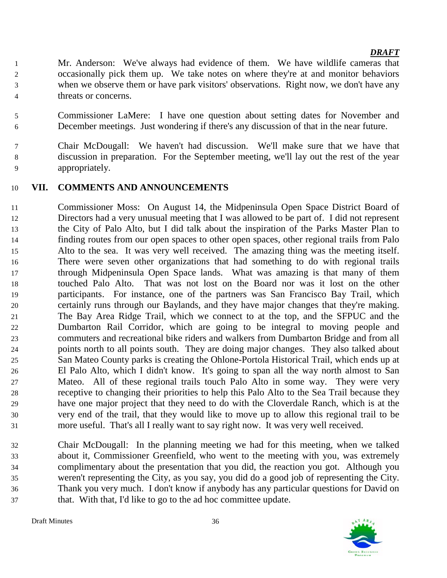- Mr. Anderson: We've always had evidence of them. We have wildlife cameras that occasionally pick them up. We take notes on where they're at and monitor behaviors when we observe them or have park visitors' observations. Right now, we don't have any threats or concerns.
- Commissioner LaMere: I have one question about setting dates for November and December meetings. Just wondering if there's any discussion of that in the near future.
- Chair McDougall: We haven't had discussion. We'll make sure that we have that discussion in preparation. For the September meeting, we'll lay out the rest of the year appropriately.

### **VII. COMMENTS AND ANNOUNCEMENTS**

- Commissioner Moss: On August 14, the Midpeninsula Open Space District Board of Directors had a very unusual meeting that I was allowed to be part of. I did not represent the City of Palo Alto, but I did talk about the inspiration of the Parks Master Plan to finding routes from our open spaces to other open spaces, other regional trails from Palo Alto to the sea. It was very well received. The amazing thing was the meeting itself. There were seven other organizations that had something to do with regional trails through Midpeninsula Open Space lands. What was amazing is that many of them touched Palo Alto. That was not lost on the Board nor was it lost on the other participants. For instance, one of the partners was San Francisco Bay Trail, which certainly runs through our Baylands, and they have major changes that they're making. The Bay Area Ridge Trail, which we connect to at the top, and the SFPUC and the Dumbarton Rail Corridor, which are going to be integral to moving people and commuters and recreational bike riders and walkers from Dumbarton Bridge and from all points north to all points south. They are doing major changes. They also talked about San Mateo County parks is creating the Ohlone-Portola Historical Trail, which ends up at El Palo Alto, which I didn't know. It's going to span all the way north almost to San Mateo. All of these regional trails touch Palo Alto in some way. They were very receptive to changing their priorities to help this Palo Alto to the Sea Trail because they have one major project that they need to do with the Cloverdale Ranch, which is at the very end of the trail, that they would like to move up to allow this regional trail to be more useful. That's all I really want to say right now. It was very well received.
- Chair McDougall: In the planning meeting we had for this meeting, when we talked about it, Commissioner Greenfield, who went to the meeting with you, was extremely complimentary about the presentation that you did, the reaction you got. Although you weren't representing the City, as you say, you did do a good job of representing the City. Thank you very much. I don't know if anybody has any particular questions for David on that. With that, I'd like to go to the ad hoc committee update.